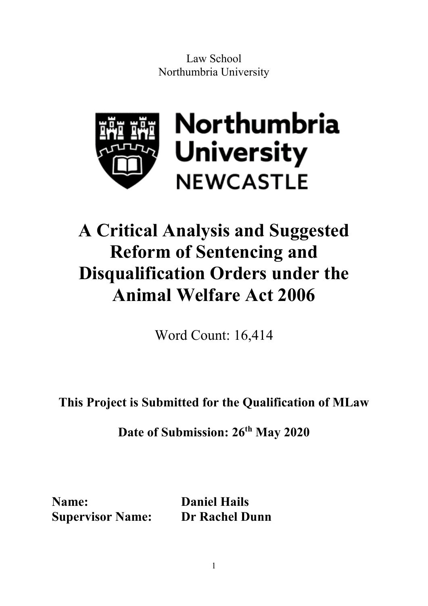Law School Northumbria University



# **A Critical Analysis and Suggested Reform of Sentencing and Disqualification Orders under the Animal Welfare Act 2006**

Word Count: 16,414

**This Project is Submitted for the Qualification of MLaw**

**Date of Submission: 26th May 2020**

**Name: Daniel Hails Supervisor Name: Dr Rachel Dunn**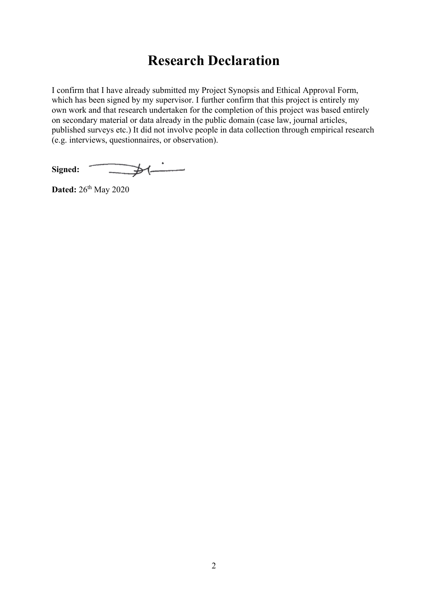## **Research Declaration**

I confirm that I have already submitted my Project Synopsis and Ethical Approval Form, which has been signed by my supervisor. I further confirm that this project is entirely my own work and that research undertaken for the completion of this project was based entirely on secondary material or data already in the public domain (case law, journal articles, published surveys etc.) It did not involve people in data collection through empirical research (e.g. interviews, questionnaires, or observation).

 $\frac{1}{\sqrt{1-\frac{1}{2}}\left(1-\frac{1}{2}\right)}$ **Signed:** 

**Dated:**  $26^{th}$  May 2020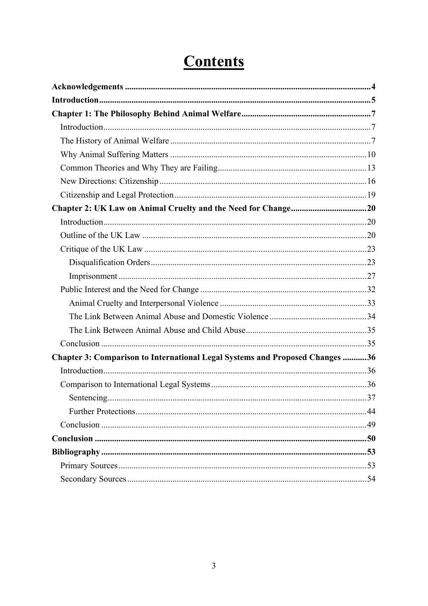| Chapter 3: Comparison to International Legal Systems and Proposed Changes 36 |  |
|------------------------------------------------------------------------------|--|
|                                                                              |  |
|                                                                              |  |
|                                                                              |  |
|                                                                              |  |
|                                                                              |  |
|                                                                              |  |
|                                                                              |  |
|                                                                              |  |
|                                                                              |  |

# **Contents**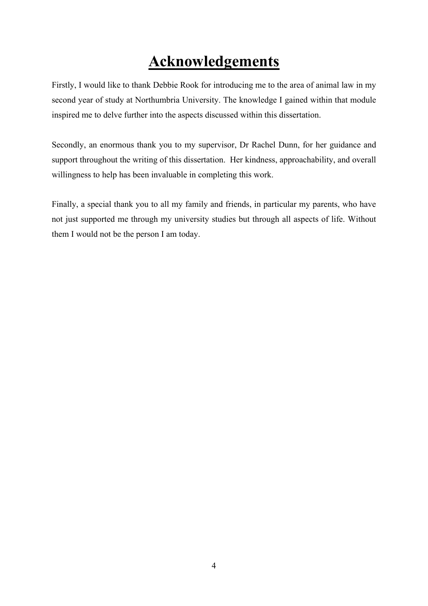# **Acknowledgements**

<span id="page-3-0"></span>Firstly, I would like to thank Debbie Rook for introducing me to the area of animal law in my second year of study at Northumbria University. The knowledge I gained within that module inspired me to delve further into the aspects discussed within this dissertation.

Secondly, an enormous thank you to my supervisor, Dr Rachel Dunn, for her guidance and support throughout the writing of this dissertation. Her kindness, approachability, and overall willingness to help has been invaluable in completing this work.

Finally, a special thank you to all my family and friends, in particular my parents, who have not just supported me through my university studies but through all aspects of life. Without them I would not be the person I am today.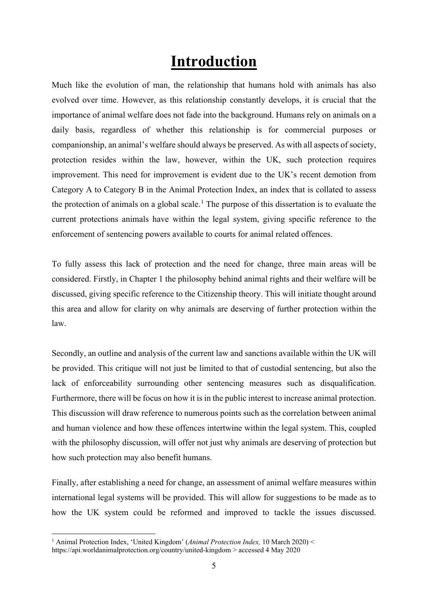## **Introduction**

<span id="page-4-0"></span>Much like the evolution of man, the relationship that humans hold with animals has also evolved over time. However, as this relationship constantly develops, it is crucial that the importance of animal welfare does not fade into the background. Humans rely on animals on a daily basis, regardless of whether this relationship is for commercial purposes or companionship, an animal's welfare should always be preserved. As with all aspects of society, protection resides within the law, however, within the UK, such protection requires improvement. This need for improvement is evident due to the UK's recent demotion from Category A to Category B in the Animal Protection Index, an index that is collated to assess the protection of animals on a global scale.<sup>[1](#page-4-1)</sup> The purpose of this dissertation is to evaluate the current protections animals have within the legal system, giving specific reference to the enforcement of sentencing powers available to courts for animal related offences.

To fully assess this lack of protection and the need for change, three main areas will be considered. Firstly, in Chapter 1 the philosophy behind animal rights and their welfare will be discussed, giving specific reference to the Citizenship theory. This will initiate thought around this area and allow for clarity on why animals are deserving of further protection within the law.

Secondly, an outline and analysis of the current law and sanctions available within the UK will be provided. This critique will not just be limited to that of custodial sentencing, but also the lack of enforceability surrounding other sentencing measures such as disqualification. Furthermore, there will be focus on how it is in the public interest to increase animal protection. This discussion will draw reference to numerous points such as the correlation between animal and human violence and how these offences intertwine within the legal system. This, coupled with the philosophy discussion, will offer not just why animals are deserving of protection but how such protection may also benefit humans.

Finally, after establishing a need for change, an assessment of animal welfare measures within international legal systems will be provided. This will allow for suggestions to be made as to how the UK system could be reformed and improved to tackle the issues discussed.

<span id="page-4-1"></span><sup>1</sup> Animal Protection Index, 'United Kingdom' (*Animal Protection Index,* 10 March 2020) < https://api.worldanimalprotection.org/country/united-kingdom > accessed 4 May 2020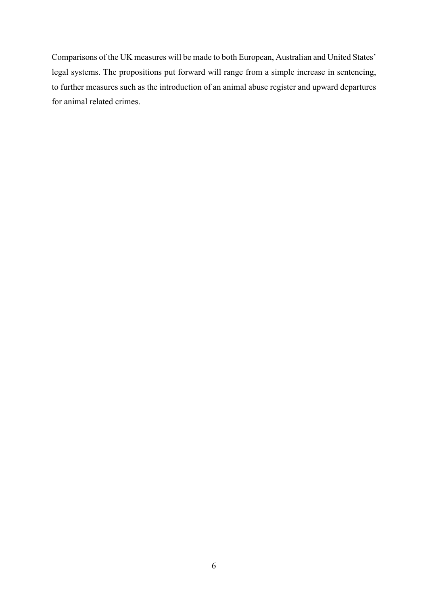Comparisons of the UK measures will be made to both European, Australian and United States' legal systems. The propositions put forward will range from a simple increase in sentencing, to further measures such as the introduction of an animal abuse register and upward departures for animal related crimes.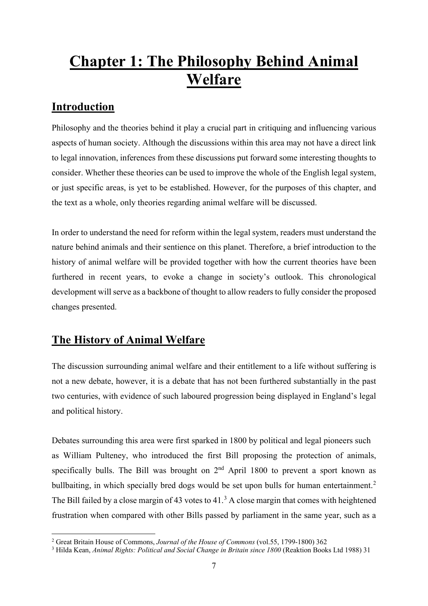# <span id="page-6-0"></span>**Chapter 1: The Philosophy Behind Animal Welfare**

### <span id="page-6-1"></span>**Introduction**

Philosophy and the theories behind it play a crucial part in critiquing and influencing various aspects of human society. Although the discussions within this area may not have a direct link to legal innovation, inferences from these discussions put forward some interesting thoughts to consider. Whether these theories can be used to improve the whole of the English legal system, or just specific areas, is yet to be established. However, for the purposes of this chapter, and the text as a whole, only theories regarding animal welfare will be discussed.

In order to understand the need for reform within the legal system, readers must understand the nature behind animals and their sentience on this planet. Therefore, a brief introduction to the history of animal welfare will be provided together with how the current theories have been furthered in recent years, to evoke a change in society's outlook. This chronological development will serve as a backbone of thought to allow readers to fully consider the proposed changes presented.

### <span id="page-6-2"></span>**The History of Animal Welfare**

The discussion surrounding animal welfare and their entitlement to a life without suffering is not a new debate, however, it is a debate that has not been furthered substantially in the past two centuries, with evidence of such laboured progression being displayed in England's legal and political history.

Debates surrounding this area were first sparked in 1800 by political and legal pioneers such as William Pulteney, who introduced the first Bill proposing the protection of animals, specifically bulls. The Bill was brought on  $2<sup>nd</sup>$  April 1800 to prevent a sport known as bullbaiting, in which specially bred dogs would be set upon bulls for human entertainment.<sup>[2](#page-6-3)</sup> The Bill failed by a close margin of 4[3](#page-6-4) votes to  $41<sup>3</sup>$  A close margin that comes with heightened frustration when compared with other Bills passed by parliament in the same year, such as a

<span id="page-6-3"></span><sup>2</sup> Great Britain House of Commons, *Journal of the House of Commons* (vol.55, 1799-1800) 362

<span id="page-6-4"></span><sup>&</sup>lt;sup>3</sup> Hilda Kean, *Animal Rights: Political and Social Change in Britain since 1800 (Reaktion Books Ltd 1988)* 31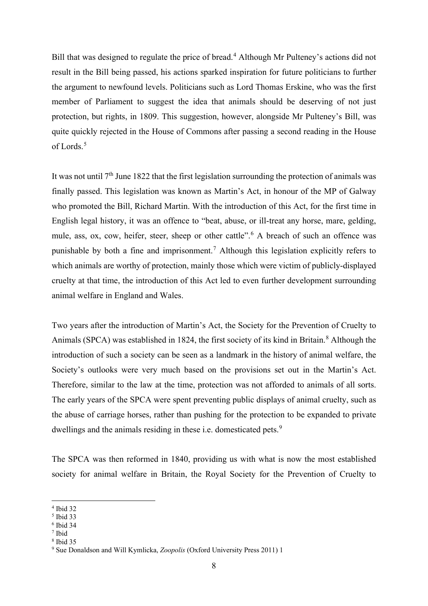Bill that was designed to regulate the price of bread.<sup>[4](#page-7-0)</sup> Although Mr Pulteney's actions did not result in the Bill being passed, his actions sparked inspiration for future politicians to further the argument to newfound levels. Politicians such as Lord Thomas Erskine, who was the first member of Parliament to suggest the idea that animals should be deserving of not just protection, but rights, in 1809. This suggestion, however, alongside Mr Pulteney's Bill, was quite quickly rejected in the House of Commons after passing a second reading in the House of Lords.<sup>[5](#page-7-1)</sup>

It was not until  $7<sup>th</sup>$  June 1822 that the first legislation surrounding the protection of animals was finally passed. This legislation was known as Martin's Act, in honour of the MP of Galway who promoted the Bill, Richard Martin. With the introduction of this Act, for the first time in English legal history, it was an offence to "beat, abuse, or ill-treat any horse, mare, gelding, mule, ass, ox, cow, heifer, steer, sheep or other cattle".<sup>[6](#page-7-2)</sup> A breach of such an offence was punishable by both a fine and imprisonment.[7](#page-7-3) Although this legislation explicitly refers to which animals are worthy of protection, mainly those which were victim of publicly-displayed cruelty at that time, the introduction of this Act led to even further development surrounding animal welfare in England and Wales.

Two years after the introduction of Martin's Act, the Society for the Prevention of Cruelty to Animals (SPCA) was established in 1[8](#page-7-4)24, the first society of its kind in Britain.<sup>8</sup> Although the introduction of such a society can be seen as a landmark in the history of animal welfare, the Society's outlooks were very much based on the provisions set out in the Martin's Act. Therefore, similar to the law at the time, protection was not afforded to animals of all sorts. The early years of the SPCA were spent preventing public displays of animal cruelty, such as the abuse of carriage horses, rather than pushing for the protection to be expanded to private dwellings and the animals residing in these i.e. domesticated pets.<sup>[9](#page-7-5)</sup>

The SPCA was then reformed in 1840, providing us with what is now the most established society for animal welfare in Britain, the Royal Society for the Prevention of Cruelty to

<span id="page-7-0"></span><sup>4</sup> Ibid 32

<span id="page-7-1"></span><sup>5</sup> Ibid 33

<span id="page-7-2"></span><sup>6</sup> Ibid 34

<span id="page-7-4"></span><span id="page-7-3"></span><sup>7</sup> Ibid

<sup>8</sup> Ibid 35

<span id="page-7-5"></span><sup>9</sup> Sue Donaldson and Will Kymlicka, *Zoopolis* (Oxford University Press 2011) 1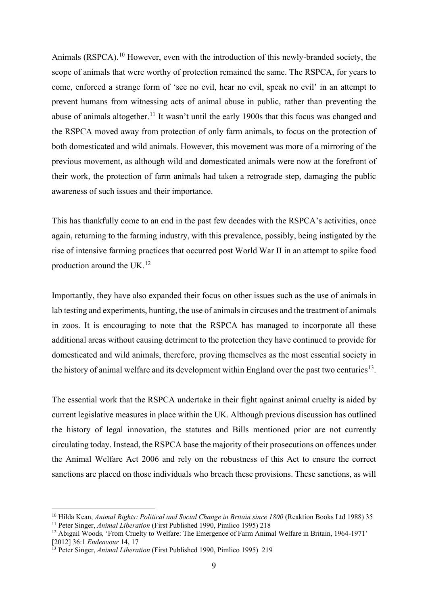Animals (RSPCA).<sup>[10](#page-8-0)</sup> However, even with the introduction of this newly-branded society, the scope of animals that were worthy of protection remained the same. The RSPCA, for years to come, enforced a strange form of 'see no evil, hear no evil, speak no evil' in an attempt to prevent humans from witnessing acts of animal abuse in public, rather than preventing the abuse of animals altogether.<sup>[11](#page-8-1)</sup> It wasn't until the early 1900s that this focus was changed and the RSPCA moved away from protection of only farm animals, to focus on the protection of both domesticated and wild animals. However, this movement was more of a mirroring of the previous movement, as although wild and domesticated animals were now at the forefront of their work, the protection of farm animals had taken a retrograde step, damaging the public awareness of such issues and their importance.

This has thankfully come to an end in the past few decades with the RSPCA's activities, once again, returning to the farming industry, with this prevalence, possibly, being instigated by the rise of intensive farming practices that occurred post World War II in an attempt to spike food production around the UK.[12](#page-8-2)

Importantly, they have also expanded their focus on other issues such as the use of animals in lab testing and experiments, hunting, the use of animals in circuses and the treatment of animals in zoos. It is encouraging to note that the RSPCA has managed to incorporate all these additional areas without causing detriment to the protection they have continued to provide for domesticated and wild animals, therefore, proving themselves as the most essential society in the history of animal welfare and its development within England over the past two centuries<sup>[13](#page-8-3)</sup>.

The essential work that the RSPCA undertake in their fight against animal cruelty is aided by current legislative measures in place within the UK. Although previous discussion has outlined the history of legal innovation, the statutes and Bills mentioned prior are not currently circulating today. Instead, the RSPCA base the majority of their prosecutions on offences under the Animal Welfare Act 2006 and rely on the robustness of this Act to ensure the correct sanctions are placed on those individuals who breach these provisions. These sanctions, as will

<span id="page-8-1"></span><span id="page-8-0"></span><sup>&</sup>lt;sup>10</sup> Hilda Kean, *Animal Rights: Political and Social Change in Britain since 1800* (Reaktion Books Ltd 1988) 35 <sup>11</sup> Peter Singer, *Animal Liberation* (First Published 1990, Pimlico 1995) 218

<span id="page-8-2"></span><sup>&</sup>lt;sup>12</sup> Abigail Woods, 'From Cruelty to Welfare: The Emergence of Farm Animal Welfare in Britain, 1964-1971' [2012] 36:1 *Endeavour* 14, 17

<span id="page-8-3"></span><sup>13</sup> Peter Singer, *Animal Liberation* (First Published 1990, Pimlico 1995) 219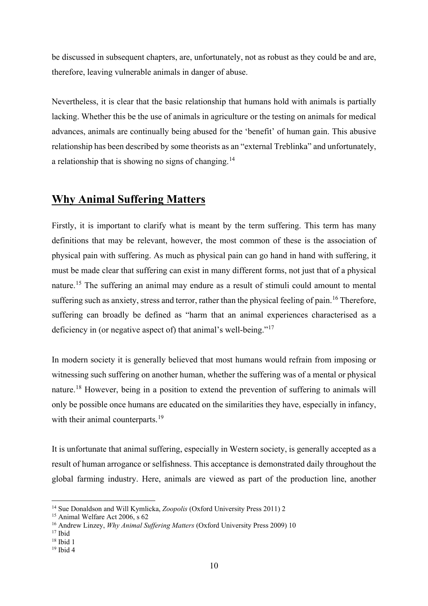be discussed in subsequent chapters, are, unfortunately, not as robust as they could be and are, therefore, leaving vulnerable animals in danger of abuse.

Nevertheless, it is clear that the basic relationship that humans hold with animals is partially lacking. Whether this be the use of animals in agriculture or the testing on animals for medical advances, animals are continually being abused for the 'benefit' of human gain. This abusive relationship has been described by some theorists as an "external Treblinka" and unfortunately, a relationship that is showing no signs of changing.<sup>[14](#page-9-1)</sup>

### <span id="page-9-0"></span>**Why Animal Suffering Matters**

Firstly, it is important to clarify what is meant by the term suffering. This term has many definitions that may be relevant, however, the most common of these is the association of physical pain with suffering. As much as physical pain can go hand in hand with suffering, it must be made clear that suffering can exist in many different forms, not just that of a physical nature.<sup>[15](#page-9-2)</sup> The suffering an animal may endure as a result of stimuli could amount to mental suffering such as anxiety, stress and terror, rather than the physical feeling of pain.<sup>[16](#page-9-3)</sup> Therefore, suffering can broadly be defined as "harm that an animal experiences characterised as a deficiency in (or negative aspect of) that animal's well-being."<sup>[17](#page-9-4)</sup>

In modern society it is generally believed that most humans would refrain from imposing or witnessing such suffering on another human, whether the suffering was of a mental or physical nature.<sup>[18](#page-9-5)</sup> However, being in a position to extend the prevention of suffering to animals will only be possible once humans are educated on the similarities they have, especially in infancy, with their animal counterparts.<sup>[19](#page-9-6)</sup>

It is unfortunate that animal suffering, especially in Western society, is generally accepted as a result of human arrogance or selfishness. This acceptance is demonstrated daily throughout the global farming industry. Here, animals are viewed as part of the production line, another

<span id="page-9-1"></span><sup>14</sup> Sue Donaldson and Will Kymlicka, *Zoopolis* (Oxford University Press 2011) 2

<span id="page-9-2"></span><sup>&</sup>lt;sup>15</sup> Animal Welfare Act 2006, s 62

<span id="page-9-3"></span><sup>16</sup> Andrew Linzey, *Why Animal Suffering Matters* (Oxford University Press 2009) 10

<span id="page-9-4"></span> $17$  Ibid

 $18$  Ibid 1

<span id="page-9-6"></span><span id="page-9-5"></span><sup>19</sup> Ibid 4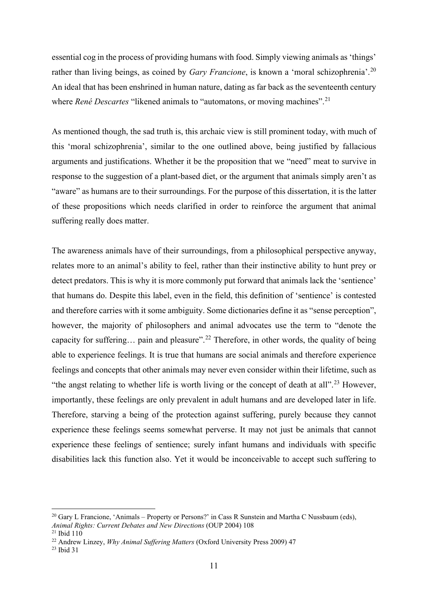essential cog in the process of providing humans with food. Simply viewing animals as 'things' rather than living beings, as coined by *Gary Francione*, is known a 'moral schizophrenia'.<sup>[20](#page-10-0)</sup> An ideal that has been enshrined in human nature, dating as far back as the seventeenth century where *René Descartes* "likened animals to "automatons, or moving machines".<sup>[21](#page-10-1)</sup>

As mentioned though, the sad truth is, this archaic view is still prominent today, with much of this 'moral schizophrenia', similar to the one outlined above, being justified by fallacious arguments and justifications. Whether it be the proposition that we "need" meat to survive in response to the suggestion of a plant-based diet, or the argument that animals simply aren't as "aware" as humans are to their surroundings. For the purpose of this dissertation, it is the latter of these propositions which needs clarified in order to reinforce the argument that animal suffering really does matter.

The awareness animals have of their surroundings, from a philosophical perspective anyway, relates more to an animal's ability to feel, rather than their instinctive ability to hunt prey or detect predators. This is why it is more commonly put forward that animals lack the 'sentience' that humans do. Despite this label, even in the field, this definition of 'sentience' is contested and therefore carries with it some ambiguity. Some dictionaries define it as "sense perception", however, the majority of philosophers and animal advocates use the term to "denote the capacity for suffering... pain and pleasure".<sup>[22](#page-10-2)</sup> Therefore, in other words, the quality of being able to experience feelings. It is true that humans are social animals and therefore experience feelings and concepts that other animals may never even consider within their lifetime, such as "the angst relating to whether life is worth living or the concept of death at all".<sup>[23](#page-10-3)</sup> However, importantly, these feelings are only prevalent in adult humans and are developed later in life. Therefore, starving a being of the protection against suffering, purely because they cannot experience these feelings seems somewhat perverse. It may not just be animals that cannot experience these feelings of sentience; surely infant humans and individuals with specific disabilities lack this function also. Yet it would be inconceivable to accept such suffering to

<span id="page-10-0"></span><sup>&</sup>lt;sup>20</sup> Gary L Francione, 'Animals – Property or Persons?' in Cass R Sunstein and Martha C Nussbaum (eds), *Animal Rights: Current Debates and New Directions* (OUP 2004) 108

<span id="page-10-1"></span> $21$  Ibid  $110$ 

<span id="page-10-2"></span><sup>22</sup> Andrew Linzey, *Why Animal Suffering Matters* (Oxford University Press 2009) 47

<span id="page-10-3"></span><sup>23</sup> Ibid 31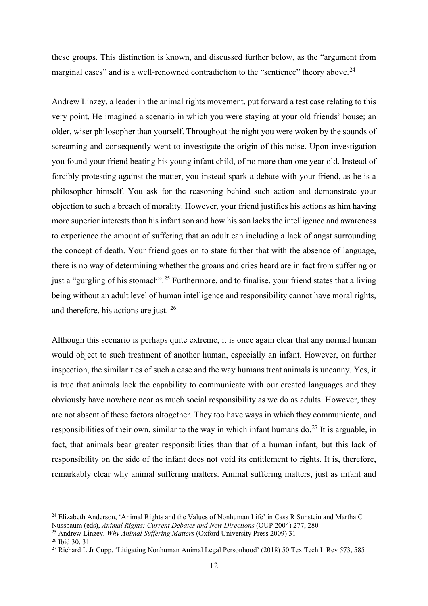these groups. This distinction is known, and discussed further below, as the "argument from marginal cases" and is a well-renowned contradiction to the "sentience" theory above.<sup>[24](#page-11-0)</sup>

Andrew Linzey, a leader in the animal rights movement, put forward a test case relating to this very point. He imagined a scenario in which you were staying at your old friends' house; an older, wiser philosopher than yourself. Throughout the night you were woken by the sounds of screaming and consequently went to investigate the origin of this noise. Upon investigation you found your friend beating his young infant child, of no more than one year old. Instead of forcibly protesting against the matter, you instead spark a debate with your friend, as he is a philosopher himself. You ask for the reasoning behind such action and demonstrate your objection to such a breach of morality. However, your friend justifies his actions as him having more superior interests than his infant son and how his son lacks the intelligence and awareness to experience the amount of suffering that an adult can including a lack of angst surrounding the concept of death. Your friend goes on to state further that with the absence of language, there is no way of determining whether the groans and cries heard are in fact from suffering or just a "gurgling of his stomach".<sup>[25](#page-11-1)</sup> Furthermore, and to finalise, your friend states that a living being without an adult level of human intelligence and responsibility cannot have moral rights, and therefore, his actions are just. [26](#page-11-2)

Although this scenario is perhaps quite extreme, it is once again clear that any normal human would object to such treatment of another human, especially an infant. However, on further inspection, the similarities of such a case and the way humans treat animals is uncanny. Yes, it is true that animals lack the capability to communicate with our created languages and they obviously have nowhere near as much social responsibility as we do as adults. However, they are not absent of these factors altogether. They too have ways in which they communicate, and responsibilities of their own, similar to the way in which infant humans do.<sup>[27](#page-11-3)</sup> It is arguable, in fact, that animals bear greater responsibilities than that of a human infant, but this lack of responsibility on the side of the infant does not void its entitlement to rights. It is, therefore, remarkably clear why animal suffering matters. Animal suffering matters, just as infant and

<span id="page-11-0"></span><sup>&</sup>lt;sup>24</sup> Elizabeth Anderson, 'Animal Rights and the Values of Nonhuman Life' in Cass R Sunstein and Martha C Nussbaum (eds), *Animal Rights: Current Debates and New Directions* (OUP 2004) 277, 280

<span id="page-11-1"></span><sup>25</sup> Andrew Linzey, *Why Animal Suffering Matters* (Oxford University Press 2009) 31

<span id="page-11-2"></span><sup>26</sup> Ibid 30, 31

<span id="page-11-3"></span><sup>&</sup>lt;sup>27</sup> Richard L Jr Cupp, 'Litigating Nonhuman Animal Legal Personhood' (2018) 50 Tex Tech L Rev 573, 585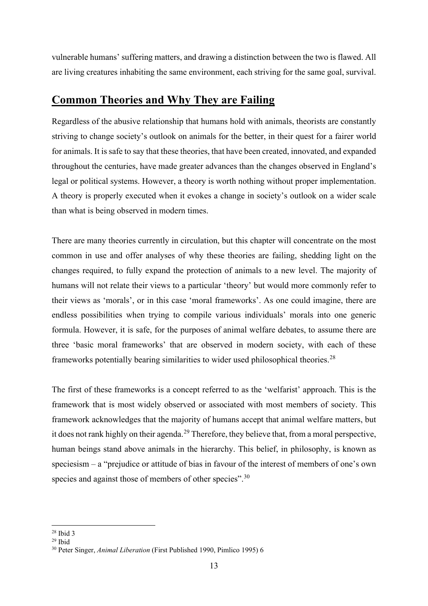vulnerable humans' suffering matters, and drawing a distinction between the two is flawed. All are living creatures inhabiting the same environment, each striving for the same goal, survival.

### <span id="page-12-0"></span>**Common Theories and Why They are Failing**

Regardless of the abusive relationship that humans hold with animals, theorists are constantly striving to change society's outlook on animals for the better, in their quest for a fairer world for animals. It is safe to say that these theories, that have been created, innovated, and expanded throughout the centuries, have made greater advances than the changes observed in England's legal or political systems. However, a theory is worth nothing without proper implementation. A theory is properly executed when it evokes a change in society's outlook on a wider scale than what is being observed in modern times.

There are many theories currently in circulation, but this chapter will concentrate on the most common in use and offer analyses of why these theories are failing, shedding light on the changes required, to fully expand the protection of animals to a new level. The majority of humans will not relate their views to a particular 'theory' but would more commonly refer to their views as 'morals', or in this case 'moral frameworks'. As one could imagine, there are endless possibilities when trying to compile various individuals' morals into one generic formula. However, it is safe, for the purposes of animal welfare debates, to assume there are three 'basic moral frameworks' that are observed in modern society, with each of these frameworks potentially bearing similarities to wider used philosophical theories.<sup>[28](#page-12-1)</sup>

The first of these frameworks is a concept referred to as the 'welfarist' approach. This is the framework that is most widely observed or associated with most members of society. This framework acknowledges that the majority of humans accept that animal welfare matters, but it does not rank highly on their agenda.<sup>[29](#page-12-2)</sup> Therefore, they believe that, from a moral perspective, human beings stand above animals in the hierarchy. This belief, in philosophy, is known as speciesism – a "prejudice or attitude of bias in favour of the interest of members of one's own species and against those of members of other species".<sup>[30](#page-12-3)</sup>

<span id="page-12-1"></span> $28$  Ibid 3

<span id="page-12-2"></span> $29$  Ibid

<span id="page-12-3"></span><sup>30</sup> Peter Singer, *Animal Liberation* (First Published 1990, Pimlico 1995) 6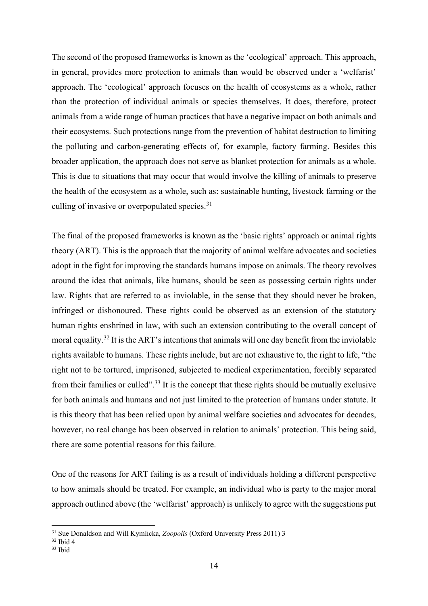The second of the proposed frameworks is known as the 'ecological' approach. This approach, in general, provides more protection to animals than would be observed under a 'welfarist' approach. The 'ecological' approach focuses on the health of ecosystems as a whole, rather than the protection of individual animals or species themselves. It does, therefore, protect animals from a wide range of human practices that have a negative impact on both animals and their ecosystems. Such protections range from the prevention of habitat destruction to limiting the polluting and carbon-generating effects of, for example, factory farming. Besides this broader application, the approach does not serve as blanket protection for animals as a whole. This is due to situations that may occur that would involve the killing of animals to preserve the health of the ecosystem as a whole, such as: sustainable hunting, livestock farming or the culling of invasive or overpopulated species.<sup>[31](#page-13-0)</sup>

The final of the proposed frameworks is known as the 'basic rights' approach or animal rights theory (ART). This is the approach that the majority of animal welfare advocates and societies adopt in the fight for improving the standards humans impose on animals. The theory revolves around the idea that animals, like humans, should be seen as possessing certain rights under law. Rights that are referred to as inviolable, in the sense that they should never be broken, infringed or dishonoured. These rights could be observed as an extension of the statutory human rights enshrined in law, with such an extension contributing to the overall concept of moral equality.<sup>[32](#page-13-1)</sup> It is the ART's intentions that animals will one day benefit from the inviolable rights available to humans. These rights include, but are not exhaustive to, the right to life, "the right not to be tortured, imprisoned, subjected to medical experimentation, forcibly separated from their families or culled".<sup>[33](#page-13-2)</sup> It is the concept that these rights should be mutually exclusive for both animals and humans and not just limited to the protection of humans under statute. It is this theory that has been relied upon by animal welfare societies and advocates for decades, however, no real change has been observed in relation to animals' protection. This being said, there are some potential reasons for this failure.

One of the reasons for ART failing is as a result of individuals holding a different perspective to how animals should be treated. For example, an individual who is party to the major moral approach outlined above (the 'welfarist' approach) is unlikely to agree with the suggestions put

<sup>31</sup> Sue Donaldson and Will Kymlicka, *Zoopolis* (Oxford University Press 2011) 3

<span id="page-13-1"></span><span id="page-13-0"></span><sup>32</sup> Ibid 4

<span id="page-13-2"></span><sup>33</sup> Ibid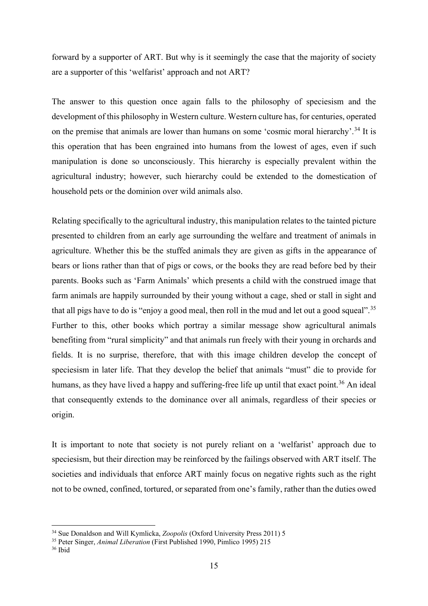forward by a supporter of ART. But why is it seemingly the case that the majority of society are a supporter of this 'welfarist' approach and not ART?

The answer to this question once again falls to the philosophy of speciesism and the development of this philosophy in Western culture. Western culture has, for centuries, operated on the premise that animals are lower than humans on some 'cosmic moral hierarchy'.<sup>[34](#page-14-0)</sup> It is this operation that has been engrained into humans from the lowest of ages, even if such manipulation is done so unconsciously. This hierarchy is especially prevalent within the agricultural industry; however, such hierarchy could be extended to the domestication of household pets or the dominion over wild animals also.

Relating specifically to the agricultural industry, this manipulation relates to the tainted picture presented to children from an early age surrounding the welfare and treatment of animals in agriculture. Whether this be the stuffed animals they are given as gifts in the appearance of bears or lions rather than that of pigs or cows, or the books they are read before bed by their parents. Books such as 'Farm Animals' which presents a child with the construed image that farm animals are happily surrounded by their young without a cage, shed or stall in sight and that all pigs have to do is "enjoy a good meal, then roll in the mud and let out a good squeal".[35](#page-14-1) Further to this, other books which portray a similar message show agricultural animals benefiting from "rural simplicity" and that animals run freely with their young in orchards and fields. It is no surprise, therefore, that with this image children develop the concept of speciesism in later life. That they develop the belief that animals "must" die to provide for humans, as they have lived a happy and suffering-free life up until that exact point.<sup>[36](#page-14-2)</sup> An ideal that consequently extends to the dominance over all animals, regardless of their species or origin.

It is important to note that society is not purely reliant on a 'welfarist' approach due to speciesism, but their direction may be reinforced by the failings observed with ART itself. The societies and individuals that enforce ART mainly focus on negative rights such as the right not to be owned, confined, tortured, or separated from one's family, rather than the duties owed

<span id="page-14-0"></span><sup>34</sup> Sue Donaldson and Will Kymlicka, *Zoopolis* (Oxford University Press 2011) 5

<span id="page-14-1"></span><sup>35</sup> Peter Singer, *Animal Liberation* (First Published 1990, Pimlico 1995) 215

<span id="page-14-2"></span><sup>36</sup> Ibid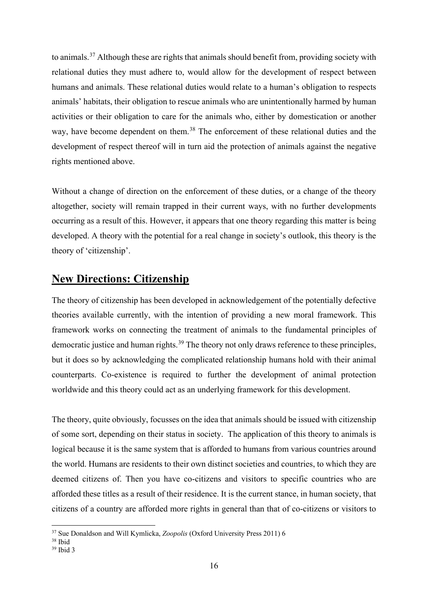to animals.<sup>[37](#page-15-1)</sup> Although these are rights that animals should benefit from, providing society with relational duties they must adhere to, would allow for the development of respect between humans and animals. These relational duties would relate to a human's obligation to respects animals' habitats, their obligation to rescue animals who are unintentionally harmed by human activities or their obligation to care for the animals who, either by domestication or another way, have become dependent on them.<sup>[38](#page-15-2)</sup> The enforcement of these relational duties and the development of respect thereof will in turn aid the protection of animals against the negative rights mentioned above.

Without a change of direction on the enforcement of these duties, or a change of the theory altogether, society will remain trapped in their current ways, with no further developments occurring as a result of this. However, it appears that one theory regarding this matter is being developed. A theory with the potential for a real change in society's outlook, this theory is the theory of 'citizenship'.

### <span id="page-15-0"></span>**New Directions: Citizenship**

The theory of citizenship has been developed in acknowledgement of the potentially defective theories available currently, with the intention of providing a new moral framework. This framework works on connecting the treatment of animals to the fundamental principles of democratic justice and human rights.<sup>[39](#page-15-3)</sup> The theory not only draws reference to these principles, but it does so by acknowledging the complicated relationship humans hold with their animal counterparts. Co-existence is required to further the development of animal protection worldwide and this theory could act as an underlying framework for this development.

The theory, quite obviously, focusses on the idea that animals should be issued with citizenship of some sort, depending on their status in society. The application of this theory to animals is logical because it is the same system that is afforded to humans from various countries around the world. Humans are residents to their own distinct societies and countries, to which they are deemed citizens of. Then you have co-citizens and visitors to specific countries who are afforded these titles as a result of their residence. It is the current stance, in human society, that citizens of a country are afforded more rights in general than that of co-citizens or visitors to

<span id="page-15-1"></span><sup>&</sup>lt;sup>37</sup> Sue Donaldson and Will Kymlicka, *Zoopolis* (Oxford University Press 2011) 6<sup>38</sup> Ibid

<span id="page-15-2"></span>

<span id="page-15-3"></span> $39$  Ibid 3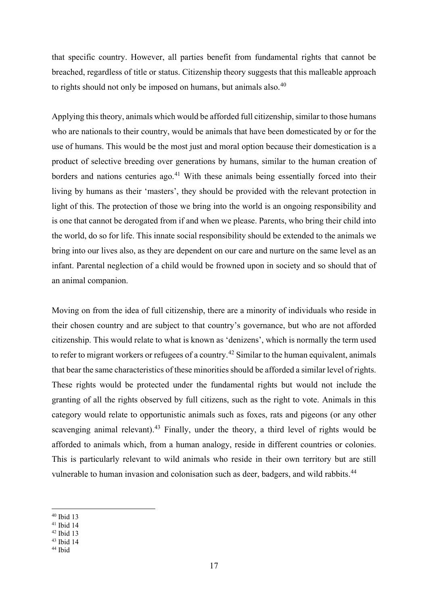that specific country. However, all parties benefit from fundamental rights that cannot be breached, regardless of title or status. Citizenship theory suggests that this malleable approach to rights should not only be imposed on humans, but animals also.<sup>[40](#page-16-0)</sup>

Applying this theory, animals which would be afforded full citizenship, similar to those humans who are nationals to their country, would be animals that have been domesticated by or for the use of humans. This would be the most just and moral option because their domestication is a product of selective breeding over generations by humans, similar to the human creation of borders and nations centuries ago.<sup>[41](#page-16-1)</sup> With these animals being essentially forced into their living by humans as their 'masters', they should be provided with the relevant protection in light of this. The protection of those we bring into the world is an ongoing responsibility and is one that cannot be derogated from if and when we please. Parents, who bring their child into the world, do so for life. This innate social responsibility should be extended to the animals we bring into our lives also, as they are dependent on our care and nurture on the same level as an infant. Parental neglection of a child would be frowned upon in society and so should that of an animal companion.

Moving on from the idea of full citizenship, there are a minority of individuals who reside in their chosen country and are subject to that country's governance, but who are not afforded citizenship. This would relate to what is known as 'denizens', which is normally the term used to refer to migrant workers or refugees of a country.<sup>[42](#page-16-2)</sup> Similar to the human equivalent, animals that bear the same characteristics of these minorities should be afforded a similar level of rights. These rights would be protected under the fundamental rights but would not include the granting of all the rights observed by full citizens, such as the right to vote. Animals in this category would relate to opportunistic animals such as foxes, rats and pigeons (or any other scavenging animal relevant).<sup>[43](#page-16-3)</sup> Finally, under the theory, a third level of rights would be afforded to animals which, from a human analogy, reside in different countries or colonies. This is particularly relevant to wild animals who reside in their own territory but are still vulnerable to human invasion and colonisation such as deer, badgers, and wild rabbits.<sup>[44](#page-16-4)</sup>

<span id="page-16-1"></span> $41$  Ibid 14

<sup>43</sup> Ibid 14

<span id="page-16-0"></span><sup>40</sup> Ibid 13

<span id="page-16-2"></span> $42$  Ibid 13

<span id="page-16-4"></span><span id="page-16-3"></span><sup>44</sup> Ibid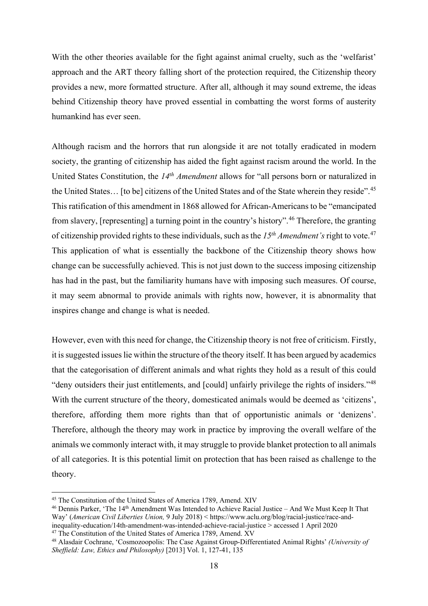With the other theories available for the fight against animal cruelty, such as the 'welfarist' approach and the ART theory falling short of the protection required, the Citizenship theory provides a new, more formatted structure. After all, although it may sound extreme, the ideas behind Citizenship theory have proved essential in combatting the worst forms of austerity humankind has ever seen.

Although racism and the horrors that run alongside it are not totally eradicated in modern society, the granting of citizenship has aided the fight against racism around the world. In the United States Constitution, the *14th Amendment* allows for "all persons born or naturalized in the United States… [to be] citizens of the United States and of the State wherein they reside".<sup>[45](#page-17-0)</sup> This ratification of this amendment in 1868 allowed for African-Americans to be "emancipated from slavery, [representing] a turning point in the country's history".[46](#page-17-1) Therefore, the granting of citizenship provided rights to these individuals, such as the *15th Amendment's* right to vote.[47](#page-17-2) This application of what is essentially the backbone of the Citizenship theory shows how change can be successfully achieved. This is not just down to the success imposing citizenship has had in the past, but the familiarity humans have with imposing such measures. Of course, it may seem abnormal to provide animals with rights now, however, it is abnormality that inspires change and change is what is needed.

However, even with this need for change, the Citizenship theory is not free of criticism. Firstly, it is suggested issues lie within the structure of the theory itself. It has been argued by academics that the categorisation of different animals and what rights they hold as a result of this could "deny outsiders their just entitlements, and [could] unfairly privilege the rights of insiders."[48](#page-17-3) With the current structure of the theory, domesticated animals would be deemed as 'citizens', therefore, affording them more rights than that of opportunistic animals or 'denizens'. Therefore, although the theory may work in practice by improving the overall welfare of the animals we commonly interact with, it may struggle to provide blanket protection to all animals of all categories. It is this potential limit on protection that has been raised as challenge to the theory.

<span id="page-17-0"></span><sup>45</sup> The Constitution of the United States of America 1789, Amend. XIV

<span id="page-17-1"></span><sup>46</sup> Dennis Parker, 'The 14th Amendment Was Intended to Achieve Racial Justice – And We Must Keep It That Way' (*American Civil Liberties Union,* 9 July 2018) < https://www.aclu.org/blog/racial-justice/race-andinequality-education/14th-amendment-was-intended-achieve-racial-justice > accessed 1 April 2020  $47$  The Constitution of the United States of America 1789, Amend. XV

<span id="page-17-2"></span>

<span id="page-17-3"></span><sup>48</sup> Alasdair Cochrane, 'Cosmozoopolis: The Case Against Group-Differentiated Animal Rights' *(University of Sheffield: Law, Ethics and Philosophy)* [2013] Vol. 1, 127-41, 135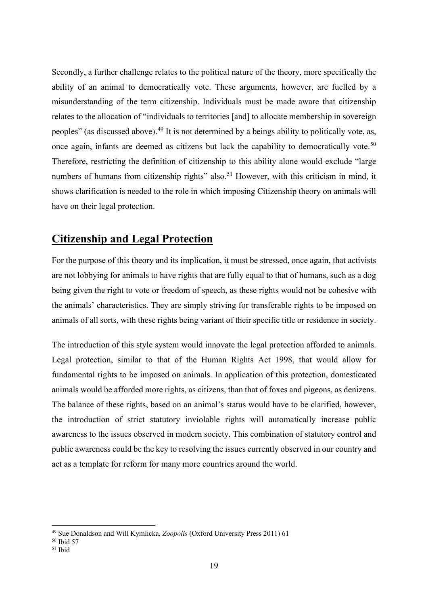Secondly, a further challenge relates to the political nature of the theory, more specifically the ability of an animal to democratically vote. These arguments, however, are fuelled by a misunderstanding of the term citizenship. Individuals must be made aware that citizenship relates to the allocation of "individuals to territories [and] to allocate membership in sovereign peoples" (as discussed above).[49](#page-18-1) It is not determined by a beings ability to politically vote, as, once again, infants are deemed as citizens but lack the capability to democratically vote.<sup>[50](#page-18-2)</sup> Therefore, restricting the definition of citizenship to this ability alone would exclude "large numbers of humans from citizenship rights" also.<sup>[51](#page-18-3)</sup> However, with this criticism in mind, it shows clarification is needed to the role in which imposing Citizenship theory on animals will have on their legal protection.

### <span id="page-18-0"></span>**Citizenship and Legal Protection**

For the purpose of this theory and its implication, it must be stressed, once again, that activists are not lobbying for animals to have rights that are fully equal to that of humans, such as a dog being given the right to vote or freedom of speech, as these rights would not be cohesive with the animals' characteristics. They are simply striving for transferable rights to be imposed on animals of all sorts, with these rights being variant of their specific title or residence in society.

The introduction of this style system would innovate the legal protection afforded to animals. Legal protection, similar to that of the Human Rights Act 1998, that would allow for fundamental rights to be imposed on animals. In application of this protection, domesticated animals would be afforded more rights, as citizens, than that of foxes and pigeons, as denizens. The balance of these rights, based on an animal's status would have to be clarified, however, the introduction of strict statutory inviolable rights will automatically increase public awareness to the issues observed in modern society. This combination of statutory control and public awareness could be the key to resolving the issues currently observed in our country and act as a template for reform for many more countries around the world.

<sup>49</sup> Sue Donaldson and Will Kymlicka, *Zoopolis* (Oxford University Press 2011) 61

<span id="page-18-2"></span><span id="page-18-1"></span><sup>50</sup> Ibid 57

<span id="page-18-3"></span><sup>51</sup> Ibid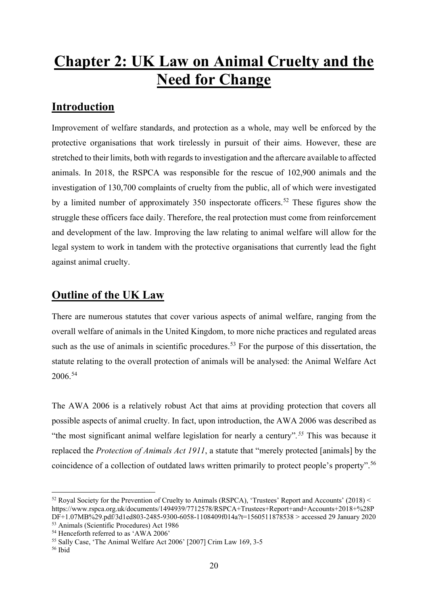## <span id="page-19-0"></span>**Chapter 2: UK Law on Animal Cruelty and the Need for Change**

### <span id="page-19-1"></span>**Introduction**

Improvement of welfare standards, and protection as a whole, may well be enforced by the protective organisations that work tirelessly in pursuit of their aims. However, these are stretched to their limits, both with regards to investigation and the aftercare available to affected animals. In 2018, the RSPCA was responsible for the rescue of 102,900 animals and the investigation of 130,700 complaints of cruelty from the public, all of which were investigated by a limited number of approximately  $350$  inspectorate officers.<sup>[52](#page-19-3)</sup> These figures show the struggle these officers face daily. Therefore, the real protection must come from reinforcement and development of the law. Improving the law relating to animal welfare will allow for the legal system to work in tandem with the protective organisations that currently lead the fight against animal cruelty.

### <span id="page-19-2"></span>**Outline of the UK Law**

There are numerous statutes that cover various aspects of animal welfare, ranging from the overall welfare of animals in the United Kingdom, to more niche practices and regulated areas such as the use of animals in scientific procedures.<sup>[53](#page-19-4)</sup> For the purpose of this dissertation, the statute relating to the overall protection of animals will be analysed: the Animal Welfare Act 2006.[54](#page-19-5)

The AWA 2006 is a relatively robust Act that aims at providing protection that covers all possible aspects of animal cruelty. In fact, upon introduction, the AWA 2006 was described as "the most significant animal welfare legislation for nearly a century"*. [55](#page-19-6)* This was because it replaced the *Protection of Animals Act 1911*, a statute that "merely protected [animals] by the coincidence of a collection of outdated laws written primarily to protect people's property".[56](#page-19-7)

<span id="page-19-3"></span><sup>52</sup> Royal Society for the Prevention of Cruelty to Animals (RSPCA), 'Trustees' Report and Accounts' (2018) < https://www.rspca.org.uk/documents/1494939/7712578/RSPCA+Trustees+Report+and+Accounts+2018+%28P DF+1.07MB%29.pdf/3d1ed803-2485-9300-6058-1108409f014a?t=1560511878538 > accessed 29 January 2020

<span id="page-19-4"></span><sup>&</sup>lt;sup>53</sup> Animals (Scientific Procedures) Act 1986<br><sup>54</sup> Henceforth referred to as 'AWA 2006'

<span id="page-19-6"></span><span id="page-19-5"></span><sup>55</sup> Sally Case, 'The Animal Welfare Act 2006' [2007] Crim Law 169, 3-5

<span id="page-19-7"></span> $56$  Ibid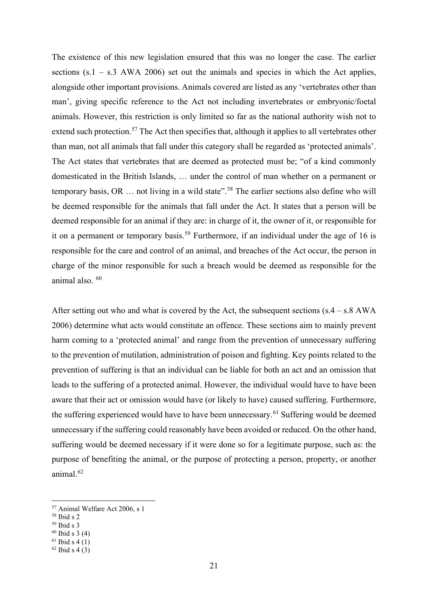The existence of this new legislation ensured that this was no longer the case. The earlier sections  $(s.1 - s.3 \text{ AWA } 2006)$  set out the animals and species in which the Act applies, alongside other important provisions. Animals covered are listed as any 'vertebrates other than man', giving specific reference to the Act not including invertebrates or embryonic/foetal animals. However, this restriction is only limited so far as the national authority wish not to extend such protection.<sup>[57](#page-20-0)</sup> The Act then specifies that, although it applies to all vertebrates other than man, not all animals that fall under this category shall be regarded as 'protected animals'. The Act states that vertebrates that are deemed as protected must be; "of a kind commonly domesticated in the British Islands, … under the control of man whether on a permanent or temporary basis, OR  $\ldots$  not living in a wild state".<sup>[58](#page-20-1)</sup> The earlier sections also define who will be deemed responsible for the animals that fall under the Act. It states that a person will be deemed responsible for an animal if they are: in charge of it, the owner of it, or responsible for it on a permanent or temporary basis.<sup>[59](#page-20-2)</sup> Furthermore, if an individual under the age of 16 is responsible for the care and control of an animal, and breaches of the Act occur, the person in charge of the minor responsible for such a breach would be deemed as responsible for the animal also. [60](#page-20-3)

After setting out who and what is covered by the Act, the subsequent sections  $(s.4 - s.8)$  AWA 2006) determine what acts would constitute an offence. These sections aim to mainly prevent harm coming to a 'protected animal' and range from the prevention of unnecessary suffering to the prevention of mutilation, administration of poison and fighting. Key points related to the prevention of suffering is that an individual can be liable for both an act and an omission that leads to the suffering of a protected animal. However, the individual would have to have been aware that their act or omission would have (or likely to have) caused suffering. Furthermore, the suffering experienced would have to have been unnecessary.<sup>[61](#page-20-4)</sup> Suffering would be deemed unnecessary if the suffering could reasonably have been avoided or reduced. On the other hand, suffering would be deemed necessary if it were done so for a legitimate purpose, such as: the purpose of benefiting the animal, or the purpose of protecting a person, property, or another animal.<sup>[62](#page-20-5)</sup>

<span id="page-20-2"></span> $59$  Ibid s 3

<span id="page-20-0"></span> $57$  Animal Welfare Act 2006, s 1<br> $58$  Ibid s 2

<span id="page-20-1"></span>

<span id="page-20-3"></span> $60$  Ibid s 3 (4)

<span id="page-20-4"></span> $61$  Ibid s 4 (1)

<span id="page-20-5"></span> $62$  Ibid s 4 (3)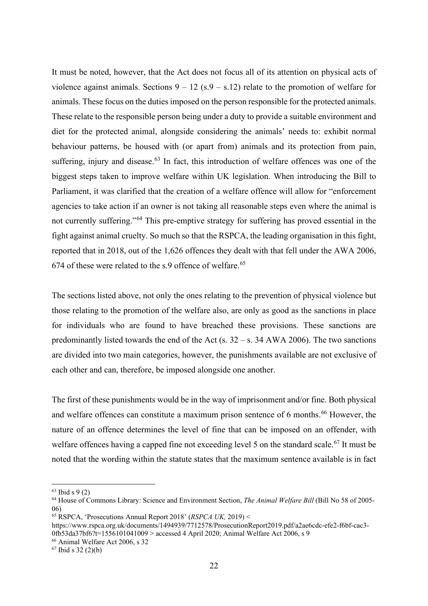It must be noted, however, that the Act does not focus all of its attention on physical acts of violence against animals. Sections  $9 - 12$  (s. $9 - s.12$ ) relate to the promotion of welfare for animals. These focus on the duties imposed on the person responsible for the protected animals. These relate to the responsible person being under a duty to provide a suitable environment and diet for the protected animal, alongside considering the animals' needs to: exhibit normal behaviour patterns, be housed with (or apart from) animals and its protection from pain, suffering, injury and disease.<sup>[63](#page-21-0)</sup> In fact, this introduction of welfare offences was one of the biggest steps taken to improve welfare within UK legislation. When introducing the Bill to Parliament, it was clarified that the creation of a welfare offence will allow for "enforcement agencies to take action if an owner is not taking all reasonable steps even where the animal is not currently suffering."[64](#page-21-1) This pre-emptive strategy for suffering has proved essential in the fight against animal cruelty. So much so that the RSPCA, the leading organisation in this fight, reported that in 2018, out of the 1,626 offences they dealt with that fell under the AWA 2006, 674 of these were related to the s.9 offence of welfare.<sup>[65](#page-21-2)</sup>

The sections listed above, not only the ones relating to the prevention of physical violence but those relating to the promotion of the welfare also, are only as good as the sanctions in place for individuals who are found to have breached these provisions. These sanctions are predominantly listed towards the end of the Act (s.  $32 - s$ . 34 AWA 2006). The two sanctions are divided into two main categories, however, the punishments available are not exclusive of each other and can, therefore, be imposed alongside one another.

The first of these punishments would be in the way of imprisonment and/or fine. Both physical and welfare offences can constitute a maximum prison sentence of 6 months.<sup>[66](#page-21-3)</sup> However, the nature of an offence determines the level of fine that can be imposed on an offender, with welfare offences having a capped fine not exceeding level 5 on the standard scale.<sup>[67](#page-21-4)</sup> It must be noted that the wording within the statute states that the maximum sentence available is in fact

<span id="page-21-0"></span><sup>63</sup> Ibid s 9 (2)

<span id="page-21-1"></span><sup>64</sup> House of Commons Library: Science and Environment Section, *The Animal Welfare Bill* (Bill No 58 of 2005- 06)

<sup>65</sup> RSPCA, 'Prosecutions Annual Report 2018' (*RSPCA UK,* 2019) <

<span id="page-21-2"></span>https://www.rspca.org.uk/documents/1494939/7712578/ProsecutionReport2019.pdf/a2ae6cdc-efe2-f6bf-cac3- 0fb53da37bf6?t=1556101041009 > accessed 4 April 2020; Animal Welfare Act 2006, s 9

<span id="page-21-3"></span><sup>66</sup> Animal Welfare Act 2006, s 32

<span id="page-21-4"></span><sup>67</sup> Ibid s 32 (2)(b)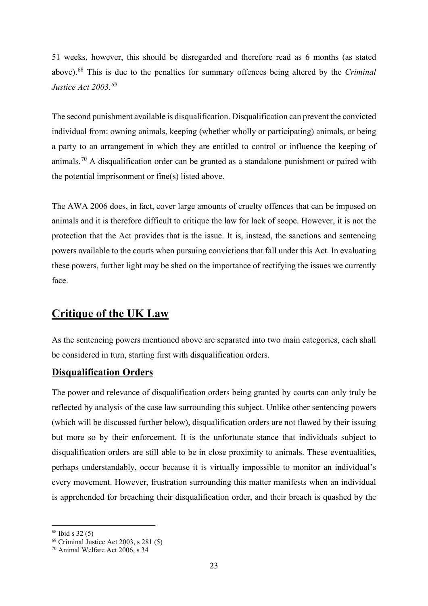51 weeks, however, this should be disregarded and therefore read as 6 months (as stated above).[68](#page-22-2) This is due to the penalties for summary offences being altered by the *Criminal Justice Act 2003.[69](#page-22-3)*

The second punishment available is disqualification. Disqualification can prevent the convicted individual from: owning animals, keeping (whether wholly or participating) animals, or being a party to an arrangement in which they are entitled to control or influence the keeping of animals.<sup>[70](#page-22-4)</sup> A disqualification order can be granted as a standalone punishment or paired with the potential imprisonment or fine(s) listed above.

The AWA 2006 does, in fact, cover large amounts of cruelty offences that can be imposed on animals and it is therefore difficult to critique the law for lack of scope. However, it is not the protection that the Act provides that is the issue. It is, instead, the sanctions and sentencing powers available to the courts when pursuing convictions that fall under this Act. In evaluating these powers, further light may be shed on the importance of rectifying the issues we currently face.

### <span id="page-22-0"></span>**Critique of the UK Law**

As the sentencing powers mentioned above are separated into two main categories, each shall be considered in turn, starting first with disqualification orders.

#### <span id="page-22-1"></span>**Disqualification Orders**

The power and relevance of disqualification orders being granted by courts can only truly be reflected by analysis of the case law surrounding this subject. Unlike other sentencing powers (which will be discussed further below), disqualification orders are not flawed by their issuing but more so by their enforcement. It is the unfortunate stance that individuals subject to disqualification orders are still able to be in close proximity to animals. These eventualities, perhaps understandably, occur because it is virtually impossible to monitor an individual's every movement. However, frustration surrounding this matter manifests when an individual is apprehended for breaching their disqualification order, and their breach is quashed by the

<span id="page-22-2"></span> $68$  Ibid s 32 $(5)$ 

<span id="page-22-3"></span><sup>69</sup> Criminal Justice Act 2003, s 281 (5)

<span id="page-22-4"></span><sup>70</sup> Animal Welfare Act 2006, s 34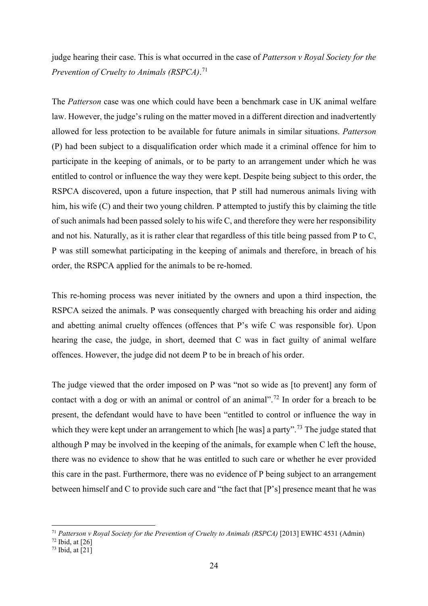judge hearing their case. This is what occurred in the case of *Patterson v Royal Society for the Prevention of Cruelty to Animals (RSPCA)*. [71](#page-23-0)

The *Patterson* case was one which could have been a benchmark case in UK animal welfare law. However, the judge's ruling on the matter moved in a different direction and inadvertently allowed for less protection to be available for future animals in similar situations. *Patterson* (P) had been subject to a disqualification order which made it a criminal offence for him to participate in the keeping of animals, or to be party to an arrangement under which he was entitled to control or influence the way they were kept. Despite being subject to this order, the RSPCA discovered, upon a future inspection, that P still had numerous animals living with him, his wife (C) and their two young children. P attempted to justify this by claiming the title of such animals had been passed solely to his wife C, and therefore they were her responsibility and not his. Naturally, as it is rather clear that regardless of this title being passed from P to C, P was still somewhat participating in the keeping of animals and therefore, in breach of his order, the RSPCA applied for the animals to be re-homed.

This re-homing process was never initiated by the owners and upon a third inspection, the RSPCA seized the animals. P was consequently charged with breaching his order and aiding and abetting animal cruelty offences (offences that P's wife C was responsible for). Upon hearing the case, the judge, in short, deemed that C was in fact guilty of animal welfare offences. However, the judge did not deem P to be in breach of his order.

The judge viewed that the order imposed on P was "not so wide as [to prevent] any form of contact with a dog or with an animal or control of an animal".<sup>[72](#page-23-1)</sup> In order for a breach to be present, the defendant would have to have been "entitled to control or influence the way in which they were kept under an arrangement to which [he was] a party".<sup>[73](#page-23-2)</sup> The judge stated that although P may be involved in the keeping of the animals, for example when C left the house, there was no evidence to show that he was entitled to such care or whether he ever provided this care in the past. Furthermore, there was no evidence of P being subject to an arrangement between himself and C to provide such care and "the fact that [P's] presence meant that he was

<span id="page-23-0"></span><sup>71</sup> *Patterson v Royal Society for the Prevention of Cruelty to Animals (RSPCA)* [2013] EWHC 4531 (Admin)

<span id="page-23-1"></span> $72$  Ibid, at  $[26]$ 

<span id="page-23-2"></span> $73$  Ibid, at  $\overline{[21]}$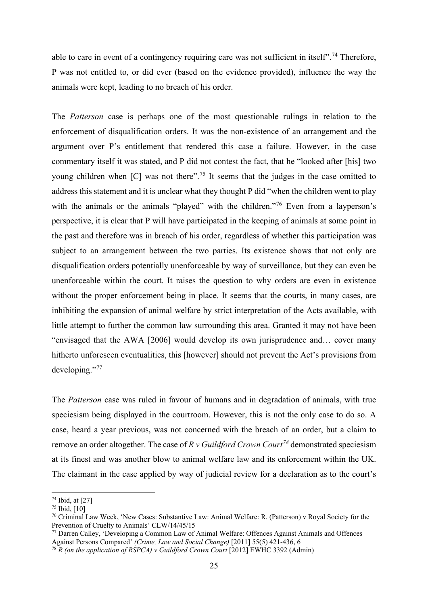able to care in event of a contingency requiring care was not sufficient in itself".<sup>[74](#page-24-0)</sup> Therefore, P was not entitled to, or did ever (based on the evidence provided), influence the way the animals were kept, leading to no breach of his order.

The *Patterson* case is perhaps one of the most questionable rulings in relation to the enforcement of disqualification orders. It was the non-existence of an arrangement and the argument over P's entitlement that rendered this case a failure. However, in the case commentary itself it was stated, and P did not contest the fact, that he "looked after [his] two young children when [C] was not there".<sup>[75](#page-24-1)</sup> It seems that the judges in the case omitted to address this statement and it is unclear what they thought P did "when the children went to play with the animals or the animals "played" with the children."<sup>[76](#page-24-2)</sup> Even from a layperson's perspective, it is clear that P will have participated in the keeping of animals at some point in the past and therefore was in breach of his order, regardless of whether this participation was subject to an arrangement between the two parties. Its existence shows that not only are disqualification orders potentially unenforceable by way of surveillance, but they can even be unenforceable within the court. It raises the question to why orders are even in existence without the proper enforcement being in place. It seems that the courts, in many cases, are inhibiting the expansion of animal welfare by strict interpretation of the Acts available, with little attempt to further the common law surrounding this area. Granted it may not have been "envisaged that the AWA [2006] would develop its own jurisprudence and… cover many hitherto unforeseen eventualities, this [however] should not prevent the Act's provisions from developing."<sup>[77](#page-24-3)</sup>

The *Patterson* case was ruled in favour of humans and in degradation of animals, with true speciesism being displayed in the courtroom. However, this is not the only case to do so. A case, heard a year previous, was not concerned with the breach of an order, but a claim to remove an order altogether. The case of *R v Guildford Crown Court[78](#page-24-4)* demonstrated speciesism at its finest and was another blow to animal welfare law and its enforcement within the UK. The claimant in the case applied by way of judicial review for a declaration as to the court's

<span id="page-24-0"></span><sup>74</sup> Ibid, at [27]

<span id="page-24-1"></span><sup>75</sup> Ibid, [10]

<span id="page-24-2"></span><sup>76</sup> Criminal Law Week, 'New Cases: Substantive Law: Animal Welfare: R. (Patterson) v Royal Society for the Prevention of Cruelty to Animals' CLW/14/45/15

<span id="page-24-3"></span><sup>77</sup> Darren Calley, 'Developing a Common Law of Animal Welfare: Offences Against Animals and Offences Against Persons Compared' *(Crime, Law and Social Change)* [2011] 55(5) 421-436, 6

<span id="page-24-4"></span><sup>&</sup>lt;sup>78</sup> *R* (on the application of *RSPCA*) v Guildford Crown Court [2012] EWHC 3392 (Admin)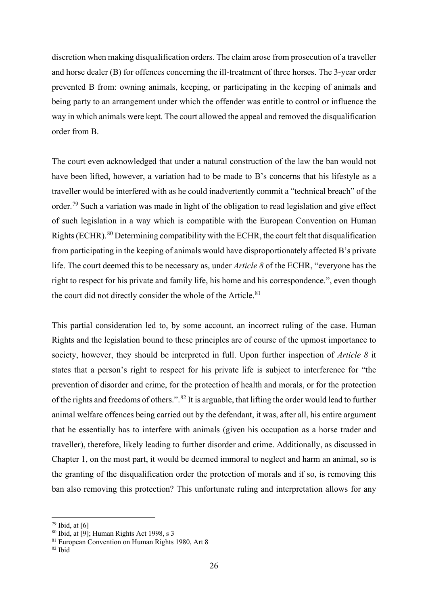discretion when making disqualification orders. The claim arose from prosecution of a traveller and horse dealer (B) for offences concerning the ill-treatment of three horses. The 3-year order prevented B from: owning animals, keeping, or participating in the keeping of animals and being party to an arrangement under which the offender was entitle to control or influence the way in which animals were kept. The court allowed the appeal and removed the disqualification order from B.

The court even acknowledged that under a natural construction of the law the ban would not have been lifted, however, a variation had to be made to B's concerns that his lifestyle as a traveller would be interfered with as he could inadvertently commit a "technical breach" of the order.<sup>[79](#page-25-0)</sup> Such a variation was made in light of the obligation to read legislation and give effect of such legislation in a way which is compatible with the European Convention on Human Rights (ECHR).<sup>[80](#page-25-1)</sup> Determining compatibility with the ECHR, the court felt that disqualification from participating in the keeping of animals would have disproportionately affected B's private life. The court deemed this to be necessary as, under *Article 8* of the ECHR, "everyone has the right to respect for his private and family life, his home and his correspondence.", even though the court did not directly consider the whole of the Article. $81$ 

This partial consideration led to, by some account, an incorrect ruling of the case. Human Rights and the legislation bound to these principles are of course of the upmost importance to society, however, they should be interpreted in full. Upon further inspection of *Article 8* it states that a person's right to respect for his private life is subject to interference for "the prevention of disorder and crime, for the protection of health and morals, or for the protection of the rights and freedoms of others.".[82](#page-25-3) It is arguable, that lifting the order would lead to further animal welfare offences being carried out by the defendant, it was, after all, his entire argument that he essentially has to interfere with animals (given his occupation as a horse trader and traveller), therefore, likely leading to further disorder and crime. Additionally, as discussed in Chapter 1, on the most part, it would be deemed immoral to neglect and harm an animal, so is the granting of the disqualification order the protection of morals and if so, is removing this ban also removing this protection? This unfortunate ruling and interpretation allows for any

<span id="page-25-0"></span> $79$  Ibid, at [6]

<span id="page-25-1"></span> $80$  Ibid, at [9]; Human Rights Act 1998, s 3

<span id="page-25-2"></span><sup>81</sup> European Convention on Human Rights 1980, Art 8

<span id="page-25-3"></span><sup>82</sup> Ibid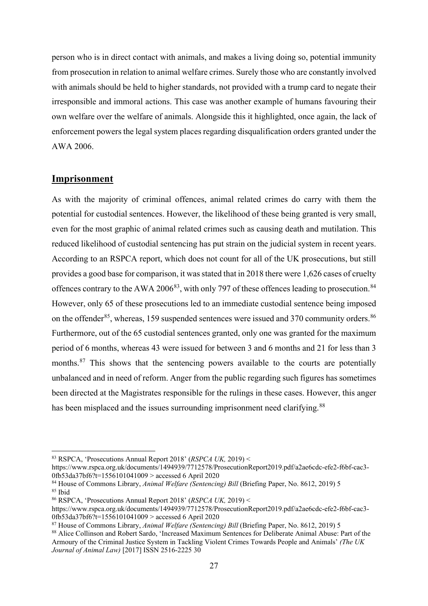person who is in direct contact with animals, and makes a living doing so, potential immunity from prosecution in relation to animal welfare crimes. Surely those who are constantly involved with animals should be held to higher standards, not provided with a trump card to negate their irresponsible and immoral actions. This case was another example of humans favouring their own welfare over the welfare of animals. Alongside this it highlighted, once again, the lack of enforcement powers the legal system places regarding disqualification orders granted under the AWA 2006.

#### <span id="page-26-0"></span>**Imprisonment**

As with the majority of criminal offences, animal related crimes do carry with them the potential for custodial sentences. However, the likelihood of these being granted is very small, even for the most graphic of animal related crimes such as causing death and mutilation. This reduced likelihood of custodial sentencing has put strain on the judicial system in recent years. According to an RSPCA report, which does not count for all of the UK prosecutions, but still provides a good base for comparison, it was stated that in 2018 there were 1,626 cases of cruelty offences contrary to the AWA 2006<sup>[83](#page-26-1)</sup>, with only 797 of these offences leading to prosecution.<sup>[84](#page-26-2)</sup> However, only 65 of these prosecutions led to an immediate custodial sentence being imposed on the offender<sup>[85](#page-26-3)</sup>, whereas, 159 suspended sentences were issued and 370 community orders.<sup>[86](#page-26-4)</sup> Furthermore, out of the 65 custodial sentences granted, only one was granted for the maximum period of 6 months, whereas 43 were issued for between 3 and 6 months and 21 for less than 3 months.<sup>[87](#page-26-5)</sup> This shows that the sentencing powers available to the courts are potentially unbalanced and in need of reform. Anger from the public regarding such figures has sometimes been directed at the Magistrates responsible for the rulings in these cases. However, this anger has been misplaced and the issues surrounding imprisonment need clarifying.<sup>[88](#page-26-6)</sup>

<span id="page-26-1"></span><sup>83</sup> RSPCA, 'Prosecutions Annual Report 2018' (*RSPCA UK,* 2019) <

https://www.rspca.org.uk/documents/1494939/7712578/ProsecutionReport2019.pdf/a2ae6cdc-efe2-f6bf-cac3- 0fb53da37bf6?t=1556101041009 > accessed 6 April 2020

<span id="page-26-2"></span><sup>84</sup> House of Commons Library, *Animal Welfare (Sentencing) Bill* (Briefing Paper, No. 8612, 2019) 5 <sup>85</sup> Ibid

<span id="page-26-4"></span><span id="page-26-3"></span><sup>86</sup> RSPCA, 'Prosecutions Annual Report 2018' (*RSPCA UK,* 2019) <

https://www.rspca.org.uk/documents/1494939/7712578/ProsecutionReport2019.pdf/a2ae6cdc-efe2-f6bf-cac3- 0fb53da37bf6?t=1556101041009 > accessed 6 April 2020

<span id="page-26-5"></span><sup>87</sup> House of Commons Library, *Animal Welfare (Sentencing) Bill* (Briefing Paper, No. 8612, 2019) 5

<span id="page-26-6"></span><sup>88</sup> Alice Collinson and Robert Sardo, 'Increased Maximum Sentences for Deliberate Animal Abuse: Part of the Armoury of the Criminal Justice System in Tackling Violent Crimes Towards People and Animals' *(The UK Journal of Animal Law)* [2017] ISSN 2516-2225 30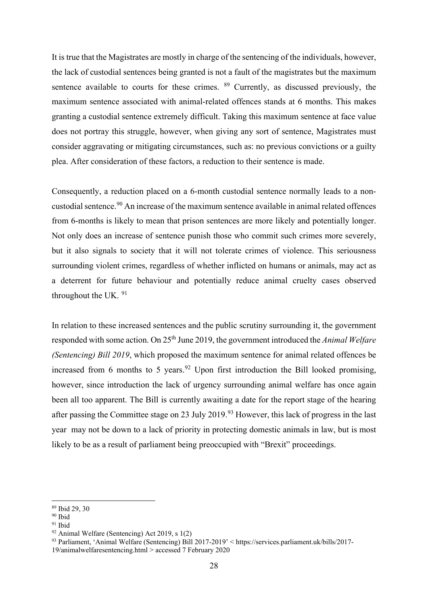It is true that the Magistrates are mostly in charge of the sentencing of the individuals, however, the lack of custodial sentences being granted is not a fault of the magistrates but the maximum sentence available to courts for these crimes. <sup>[89](#page-27-0)</sup> Currently, as discussed previously, the maximum sentence associated with animal-related offences stands at 6 months. This makes granting a custodial sentence extremely difficult. Taking this maximum sentence at face value does not portray this struggle, however, when giving any sort of sentence, Magistrates must consider aggravating or mitigating circumstances, such as: no previous convictions or a guilty plea. After consideration of these factors, a reduction to their sentence is made.

Consequently, a reduction placed on a 6-month custodial sentence normally leads to a noncustodial sentence.[90](#page-27-1) An increase of the maximum sentence available in animal related offences from 6-months is likely to mean that prison sentences are more likely and potentially longer. Not only does an increase of sentence punish those who commit such crimes more severely, but it also signals to society that it will not tolerate crimes of violence. This seriousness surrounding violent crimes, regardless of whether inflicted on humans or animals, may act as a deterrent for future behaviour and potentially reduce animal cruelty cases observed throughout the UK. <sup>[91](#page-27-2)</sup>

In relation to these increased sentences and the public scrutiny surrounding it, the government responded with some action. On 25th June 2019, the government introduced the *Animal Welfare (Sentencing) Bill 2019*, which proposed the maximum sentence for animal related offences be increased from 6 months to 5 years.<sup>[92](#page-27-3)</sup> Upon first introduction the Bill looked promising, however, since introduction the lack of urgency surrounding animal welfare has once again been all too apparent. The Bill is currently awaiting a date for the report stage of the hearing after passing the Committee stage on 23 July 2019.<sup>[93](#page-27-4)</sup> However, this lack of progress in the last year may not be down to a lack of priority in protecting domestic animals in law, but is most likely to be as a result of parliament being preoccupied with "Brexit" proceedings.

<span id="page-27-0"></span><sup>89</sup> Ibid 29, 30

<span id="page-27-1"></span><sup>90</sup> Ibid

<span id="page-27-2"></span><sup>&</sup>lt;sup>91</sup> Ibid

<span id="page-27-3"></span> $92$  Animal Welfare (Sentencing) Act 2019, s 1(2)

<span id="page-27-4"></span><sup>93</sup> Parliament, 'Animal Welfare (Sentencing) Bill 2017-2019' < https://services.parliament.uk/bills/2017- 19/animalwelfaresentencing.html > accessed 7 February 2020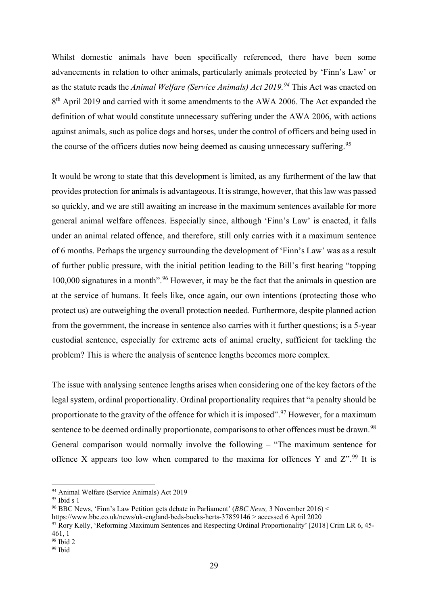Whilst domestic animals have been specifically referenced, there have been some advancements in relation to other animals, particularly animals protected by 'Finn's Law' or as the statute reads the *Animal Welfare (Service Animals) Act 2019.[94](#page-28-0)* This Act was enacted on 8<sup>th</sup> April 2019 and carried with it some amendments to the AWA 2006. The Act expanded the definition of what would constitute unnecessary suffering under the AWA 2006, with actions against animals, such as police dogs and horses, under the control of officers and being used in the course of the officers duties now being deemed as causing unnecessary suffering.<sup>[95](#page-28-1)</sup>

It would be wrong to state that this development is limited, as any furtherment of the law that provides protection for animals is advantageous. It is strange, however, that this law was passed so quickly, and we are still awaiting an increase in the maximum sentences available for more general animal welfare offences. Especially since, although 'Finn's Law' is enacted, it falls under an animal related offence, and therefore, still only carries with it a maximum sentence of 6 months. Perhaps the urgency surrounding the development of 'Finn's Law' was as a result of further public pressure, with the initial petition leading to the Bill's first hearing "topping 100,000 signatures in a month".<sup>[96](#page-28-2)</sup> However, it may be the fact that the animals in question are at the service of humans. It feels like, once again, our own intentions (protecting those who protect us) are outweighing the overall protection needed. Furthermore, despite planned action from the government, the increase in sentence also carries with it further questions; is a 5-year custodial sentence, especially for extreme acts of animal cruelty, sufficient for tackling the problem? This is where the analysis of sentence lengths becomes more complex.

The issue with analysing sentence lengths arises when considering one of the key factors of the legal system, ordinal proportionality. Ordinal proportionality requires that "a penalty should be proportionate to the gravity of the offence for which it is imposed".<sup>[97](#page-28-3)</sup> However, for a maximum sentence to be deemed ordinally proportionate, comparisons to other offences must be drawn.<sup>[98](#page-28-4)</sup> General comparison would normally involve the following – "The maximum sentence for offence X appears too low when compared to the maxima for offences Y and  $Z^{\prime,99}$  $Z^{\prime,99}$  $Z^{\prime,99}$  It is

<sup>94</sup> Animal Welfare (Service Animals) Act 2019

<span id="page-28-1"></span><span id="page-28-0"></span> $95$  Ibid s  $1$ 

<span id="page-28-2"></span><sup>96</sup> BBC News, 'Finn's Law Petition gets debate in Parliament' (*BBC News,* 3 November 2016) <

https://www.bbc.co.uk/news/uk-england-beds-bucks-herts-37859146 > accessed 6 April 2020

<span id="page-28-3"></span><sup>97</sup> Rory Kelly, 'Reforming Maximum Sentences and Respecting Ordinal Proportionality' [2018] Crim LR 6, 45- 461, 1

<span id="page-28-4"></span><sup>98</sup> Ibid 2

<span id="page-28-5"></span><sup>99</sup> Ibid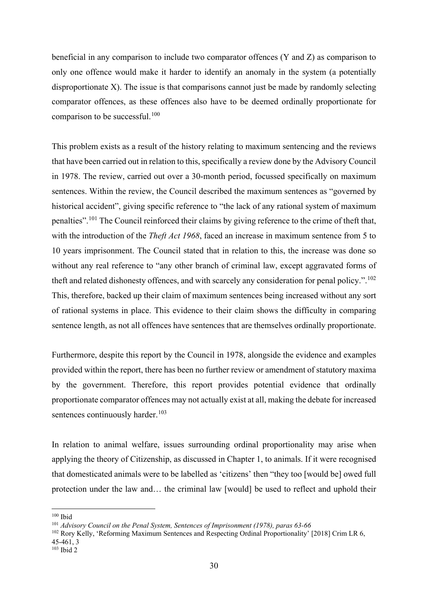beneficial in any comparison to include two comparator offences (Y and Z) as comparison to only one offence would make it harder to identify an anomaly in the system (a potentially disproportionate X). The issue is that comparisons cannot just be made by randomly selecting comparator offences, as these offences also have to be deemed ordinally proportionate for comparison to be successful.<sup>[100](#page-29-0)</sup>

This problem exists as a result of the history relating to maximum sentencing and the reviews that have been carried out in relation to this, specifically a review done by the Advisory Council in 1978. The review, carried out over a 30-month period, focussed specifically on maximum sentences. Within the review, the Council described the maximum sentences as "governed by historical accident", giving specific reference to "the lack of any rational system of maximum penalties".<sup>[101](#page-29-1)</sup> The Council reinforced their claims by giving reference to the crime of theft that, with the introduction of the *Theft Act 1968*, faced an increase in maximum sentence from 5 to 10 years imprisonment. The Council stated that in relation to this, the increase was done so without any real reference to "any other branch of criminal law, except aggravated forms of theft and related dishonesty offences, and with scarcely any consideration for penal policy.".  $^{102}$  $^{102}$  $^{102}$ This, therefore, backed up their claim of maximum sentences being increased without any sort of rational systems in place. This evidence to their claim shows the difficulty in comparing sentence length, as not all offences have sentences that are themselves ordinally proportionate.

Furthermore, despite this report by the Council in 1978, alongside the evidence and examples provided within the report, there has been no further review or amendment of statutory maxima by the government. Therefore, this report provides potential evidence that ordinally proportionate comparator offences may not actually exist at all, making the debate for increased sentences continuously harder.<sup>[103](#page-29-3)</sup>

In relation to animal welfare, issues surrounding ordinal proportionality may arise when applying the theory of Citizenship, as discussed in Chapter 1, to animals. If it were recognised that domesticated animals were to be labelled as 'citizens' then "they too [would be] owed full protection under the law and… the criminal law [would] be used to reflect and uphold their

<span id="page-29-0"></span><sup>100</sup> Ibid

<span id="page-29-1"></span><sup>101</sup> *Advisory Council on the Penal System, Sentences of Imprisonment (1978), paras 63-66*

<span id="page-29-2"></span><sup>102</sup> Rory Kelly, 'Reforming Maximum Sentences and Respecting Ordinal Proportionality' [2018] Crim LR 6, 45-461, 3

<span id="page-29-3"></span> $103$  Ibid 2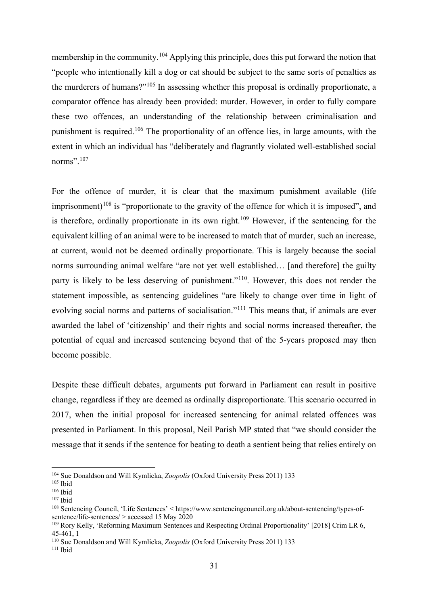membership in the community.<sup>[104](#page-30-0)</sup> Applying this principle, does this put forward the notion that "people who intentionally kill a dog or cat should be subject to the same sorts of penalties as the murderers of humans?"[105](#page-30-1) In assessing whether this proposal is ordinally proportionate, a comparator offence has already been provided: murder. However, in order to fully compare these two offences, an understanding of the relationship between criminalisation and punishment is required.<sup>[106](#page-30-2)</sup> The proportionality of an offence lies, in large amounts, with the extent in which an individual has "deliberately and flagrantly violated well-established social norms".<sup>[107](#page-30-3)</sup>

For the offence of murder, it is clear that the maximum punishment available (life imprisonment)<sup>[108](#page-30-4)</sup> is "proportionate to the gravity of the offence for which it is imposed", and is therefore, ordinally proportionate in its own right.<sup>[109](#page-30-5)</sup> However, if the sentencing for the equivalent killing of an animal were to be increased to match that of murder, such an increase, at current, would not be deemed ordinally proportionate. This is largely because the social norms surrounding animal welfare "are not yet well established… [and therefore] the guilty party is likely to be less deserving of punishment."[110.](#page-30-6) However, this does not render the statement impossible, as sentencing guidelines "are likely to change over time in light of evolving social norms and patterns of socialisation."<sup>[111](#page-30-7)</sup> This means that, if animals are ever awarded the label of 'citizenship' and their rights and social norms increased thereafter, the potential of equal and increased sentencing beyond that of the 5-years proposed may then become possible.

Despite these difficult debates, arguments put forward in Parliament can result in positive change, regardless if they are deemed as ordinally disproportionate. This scenario occurred in 2017, when the initial proposal for increased sentencing for animal related offences was presented in Parliament. In this proposal, Neil Parish MP stated that "we should consider the message that it sends if the sentence for beating to death a sentient being that relies entirely on

<span id="page-30-0"></span><sup>104</sup> Sue Donaldson and Will Kymlicka, *Zoopolis* (Oxford University Press 2011) 133

<span id="page-30-1"></span> $^{\rm 105}$  Ibid

<span id="page-30-2"></span> $^{\rm 106}$  Ibid

<span id="page-30-3"></span><sup>107</sup> Ibid

<span id="page-30-4"></span><sup>108</sup> Sentencing Council, 'Life Sentences' < https://www.sentencingcouncil.org.uk/about-sentencing/types-ofsentence/life-sentences/ > accessed 15 May 2020

<span id="page-30-5"></span><sup>109</sup> Rory Kelly, 'Reforming Maximum Sentences and Respecting Ordinal Proportionality' [2018] Crim LR 6, 45-461, 1

<span id="page-30-6"></span><sup>110</sup> Sue Donaldson and Will Kymlicka, *Zoopolis* (Oxford University Press 2011) 133

<span id="page-30-7"></span> $111$  Ibid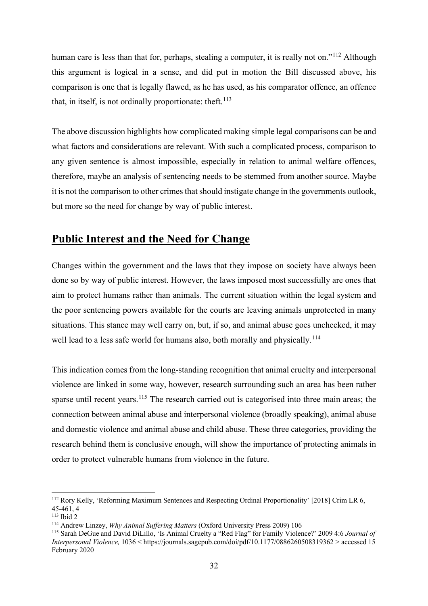human care is less than that for, perhaps, stealing a computer, it is really not on."<sup>[112](#page-31-1)</sup> Although this argument is logical in a sense, and did put in motion the Bill discussed above, his comparison is one that is legally flawed, as he has used, as his comparator offence, an offence that, in itself, is not ordinally proportionate: theft. $^{113}$  $^{113}$  $^{113}$ 

The above discussion highlights how complicated making simple legal comparisons can be and what factors and considerations are relevant. With such a complicated process, comparison to any given sentence is almost impossible, especially in relation to animal welfare offences, therefore, maybe an analysis of sentencing needs to be stemmed from another source. Maybe it is not the comparison to other crimes that should instigate change in the governments outlook, but more so the need for change by way of public interest.

### <span id="page-31-0"></span>**Public Interest and the Need for Change**

Changes within the government and the laws that they impose on society have always been done so by way of public interest. However, the laws imposed most successfully are ones that aim to protect humans rather than animals. The current situation within the legal system and the poor sentencing powers available for the courts are leaving animals unprotected in many situations. This stance may well carry on, but, if so, and animal abuse goes unchecked, it may well lead to a less safe world for humans also, both morally and physically.<sup>[114](#page-31-3)</sup>

This indication comes from the long-standing recognition that animal cruelty and interpersonal violence are linked in some way, however, research surrounding such an area has been rather sparse until recent years.<sup>[115](#page-31-4)</sup> The research carried out is categorised into three main areas; the connection between animal abuse and interpersonal violence (broadly speaking), animal abuse and domestic violence and animal abuse and child abuse. These three categories, providing the research behind them is conclusive enough, will show the importance of protecting animals in order to protect vulnerable humans from violence in the future.

<span id="page-31-1"></span><sup>&</sup>lt;sup>112</sup> Rory Kelly, 'Reforming Maximum Sentences and Respecting Ordinal Proportionality' [2018] Crim LR 6, 45-461, 4

<span id="page-31-2"></span><sup>113</sup> Ibid 2

<span id="page-31-3"></span><sup>114</sup> Andrew Linzey, *Why Animal Suffering Matters* (Oxford University Press 2009) 106

<span id="page-31-4"></span><sup>115</sup> Sarah DeGue and David DiLillo, 'Is Animal Cruelty a "Red Flag" for Family Violence?' 2009 4:6 *Journal of Interpersonal Violence,* 1036 < https://journals.sagepub.com/doi/pdf/10.1177/0886260508319362 > accessed 15 February 2020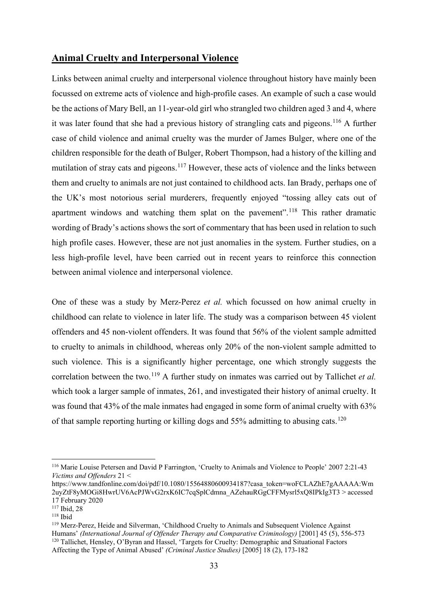#### <span id="page-32-0"></span>**Animal Cruelty and Interpersonal Violence**

Links between animal cruelty and interpersonal violence throughout history have mainly been focussed on extreme acts of violence and high-profile cases. An example of such a case would be the actions of Mary Bell, an 11-year-old girl who strangled two children aged 3 and 4, where it was later found that she had a previous history of strangling cats and pigeons.<sup>[116](#page-32-1)</sup> A further case of child violence and animal cruelty was the murder of James Bulger, where one of the children responsible for the death of Bulger, Robert Thompson, had a history of the killing and mutilation of stray cats and pigeons.<sup>[117](#page-32-2)</sup> However, these acts of violence and the links between them and cruelty to animals are not just contained to childhood acts. Ian Brady, perhaps one of the UK's most notorious serial murderers, frequently enjoyed "tossing alley cats out of apartment windows and watching them splat on the pavement".<sup>[118](#page-32-3)</sup> This rather dramatic wording of Brady's actions shows the sort of commentary that has been used in relation to such high profile cases. However, these are not just anomalies in the system. Further studies, on a less high-profile level, have been carried out in recent years to reinforce this connection between animal violence and interpersonal violence.

One of these was a study by Merz-Perez *et al.* which focussed on how animal cruelty in childhood can relate to violence in later life. The study was a comparison between 45 violent offenders and 45 non-violent offenders. It was found that 56% of the violent sample admitted to cruelty to animals in childhood, whereas only 20% of the non-violent sample admitted to such violence. This is a significantly higher percentage, one which strongly suggests the correlation between the two.<sup>[119](#page-32-4)</sup> A further study on inmates was carried out by Tallichet *et al.* which took a larger sample of inmates, 261, and investigated their history of animal cruelty. It was found that 43% of the male inmates had engaged in some form of animal cruelty with 63% of that sample reporting hurting or killing dogs and  $55\%$  admitting to abusing cats.<sup>[120](#page-32-5)</sup>

<span id="page-32-1"></span><sup>116</sup> Marie Louise Petersen and David P Farrington, 'Cruelty to Animals and Violence to People' 2007 2:21-43 *Victims and Offenders* 21 <

https://www.tandfonline.com/doi/pdf/10.1080/15564880600934187?casa\_token=woFCLAZhE7gAAAAA:Wm 2uyZtF8yMOGi8HwrUV6AcPJWvG2rxK6IC7cqSplCdmna\_AZehauRGgCFFMysrl5xQ8IPkIg3T3 > accessed 17 February 2020

<span id="page-32-2"></span><sup>117</sup> Ibid, 28

<span id="page-32-3"></span><sup>118</sup> Ibid

<span id="page-32-5"></span><span id="page-32-4"></span><sup>119</sup> Merz-Perez, Heide and Silverman, 'Childhood Cruelty to Animals and Subsequent Violence Against Humans' *(International Journal of Offender Therapy and Comparative Criminology)* [2001] 45 (5), 556-573 <sup>120</sup> Tallichet, Hensley, O'Byran and Hassel, 'Targets for Cruelty: Demographic and Situational Factors Affecting the Type of Animal Abused' *(Criminal Justice Studies)* [2005] 18 (2), 173-182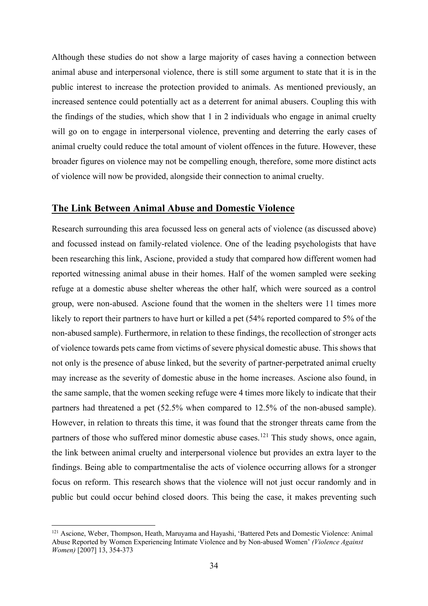Although these studies do not show a large majority of cases having a connection between animal abuse and interpersonal violence, there is still some argument to state that it is in the public interest to increase the protection provided to animals. As mentioned previously, an increased sentence could potentially act as a deterrent for animal abusers. Coupling this with the findings of the studies, which show that 1 in 2 individuals who engage in animal cruelty will go on to engage in interpersonal violence, preventing and deterring the early cases of animal cruelty could reduce the total amount of violent offences in the future. However, these broader figures on violence may not be compelling enough, therefore, some more distinct acts of violence will now be provided, alongside their connection to animal cruelty.

### <span id="page-33-0"></span>**The Link Between Animal Abuse and Domestic Violence**

Research surrounding this area focussed less on general acts of violence (as discussed above) and focussed instead on family-related violence. One of the leading psychologists that have been researching this link, Ascione, provided a study that compared how different women had reported witnessing animal abuse in their homes. Half of the women sampled were seeking refuge at a domestic abuse shelter whereas the other half, which were sourced as a control group, were non-abused. Ascione found that the women in the shelters were 11 times more likely to report their partners to have hurt or killed a pet (54% reported compared to 5% of the non-abused sample). Furthermore, in relation to these findings, the recollection of stronger acts of violence towards pets came from victims of severe physical domestic abuse. This shows that not only is the presence of abuse linked, but the severity of partner-perpetrated animal cruelty may increase as the severity of domestic abuse in the home increases. Ascione also found, in the same sample, that the women seeking refuge were 4 times more likely to indicate that their partners had threatened a pet (52.5% when compared to 12.5% of the non-abused sample). However, in relation to threats this time, it was found that the stronger threats came from the partners of those who suffered minor domestic abuse cases.<sup>[121](#page-33-1)</sup> This study shows, once again, the link between animal cruelty and interpersonal violence but provides an extra layer to the findings. Being able to compartmentalise the acts of violence occurring allows for a stronger focus on reform. This research shows that the violence will not just occur randomly and in public but could occur behind closed doors. This being the case, it makes preventing such

<span id="page-33-1"></span><sup>121</sup> Ascione, Weber, Thompson, Heath, Maruyama and Hayashi, 'Battered Pets and Domestic Violence: Animal Abuse Reported by Women Experiencing Intimate Violence and by Non-abused Women' *(Violence Against Women)* [2007] 13, 354-373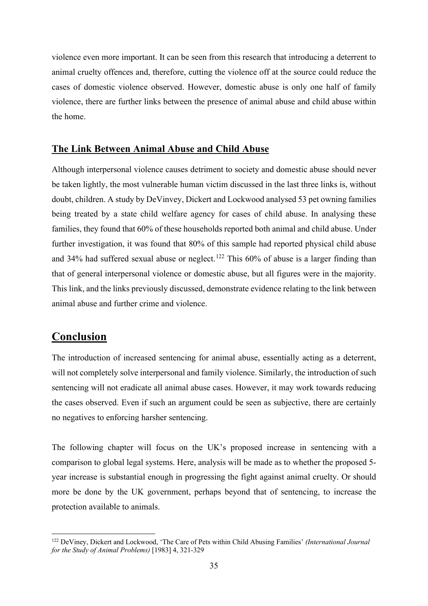violence even more important. It can be seen from this research that introducing a deterrent to animal cruelty offences and, therefore, cutting the violence off at the source could reduce the cases of domestic violence observed. However, domestic abuse is only one half of family violence, there are further links between the presence of animal abuse and child abuse within the home.

#### <span id="page-34-0"></span>**The Link Between Animal Abuse and Child Abuse**

Although interpersonal violence causes detriment to society and domestic abuse should never be taken lightly, the most vulnerable human victim discussed in the last three links is, without doubt, children. A study by DeVinvey, Dickert and Lockwood analysed 53 pet owning families being treated by a state child welfare agency for cases of child abuse. In analysing these families, they found that 60% of these households reported both animal and child abuse. Under further investigation, it was found that 80% of this sample had reported physical child abuse and 34% had suffered sexual abuse or neglect.<sup>[122](#page-34-2)</sup> This  $60\%$  of abuse is a larger finding than that of general interpersonal violence or domestic abuse, but all figures were in the majority. This link, and the links previously discussed, demonstrate evidence relating to the link between animal abuse and further crime and violence.

### <span id="page-34-1"></span>**Conclusion**

The introduction of increased sentencing for animal abuse, essentially acting as a deterrent, will not completely solve interpersonal and family violence. Similarly, the introduction of such sentencing will not eradicate all animal abuse cases. However, it may work towards reducing the cases observed. Even if such an argument could be seen as subjective, there are certainly no negatives to enforcing harsher sentencing.

The following chapter will focus on the UK's proposed increase in sentencing with a comparison to global legal systems. Here, analysis will be made as to whether the proposed 5 year increase is substantial enough in progressing the fight against animal cruelty. Or should more be done by the UK government, perhaps beyond that of sentencing, to increase the protection available to animals.

<span id="page-34-2"></span><sup>122</sup> DeViney, Dickert and Lockwood, 'The Care of Pets within Child Abusing Families' *(International Journal for the Study of Animal Problems)* [1983] 4, 321-329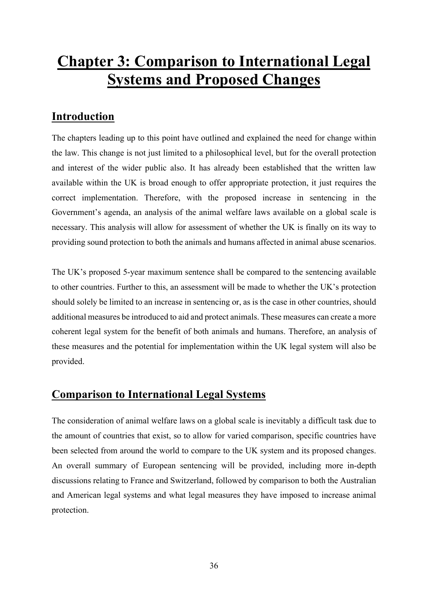## <span id="page-35-0"></span>**Chapter 3: Comparison to International Legal Systems and Proposed Changes**

### <span id="page-35-1"></span>**Introduction**

The chapters leading up to this point have outlined and explained the need for change within the law. This change is not just limited to a philosophical level, but for the overall protection and interest of the wider public also. It has already been established that the written law available within the UK is broad enough to offer appropriate protection, it just requires the correct implementation. Therefore, with the proposed increase in sentencing in the Government's agenda, an analysis of the animal welfare laws available on a global scale is necessary. This analysis will allow for assessment of whether the UK is finally on its way to providing sound protection to both the animals and humans affected in animal abuse scenarios.

The UK's proposed 5-year maximum sentence shall be compared to the sentencing available to other countries. Further to this, an assessment will be made to whether the UK's protection should solely be limited to an increase in sentencing or, as is the case in other countries, should additional measures be introduced to aid and protect animals. These measures can create a more coherent legal system for the benefit of both animals and humans. Therefore, an analysis of these measures and the potential for implementation within the UK legal system will also be provided.

### <span id="page-35-2"></span>**Comparison to International Legal Systems**

The consideration of animal welfare laws on a global scale is inevitably a difficult task due to the amount of countries that exist, so to allow for varied comparison, specific countries have been selected from around the world to compare to the UK system and its proposed changes. An overall summary of European sentencing will be provided, including more in-depth discussions relating to France and Switzerland, followed by comparison to both the Australian and American legal systems and what legal measures they have imposed to increase animal protection.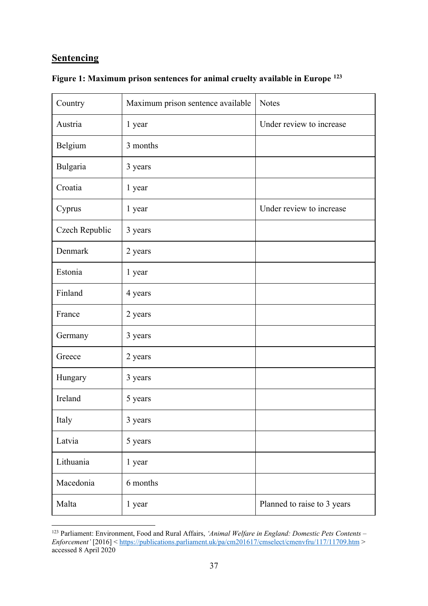### <span id="page-36-0"></span>**Sentencing**

| Country        | Maximum prison sentence available | <b>Notes</b>                |
|----------------|-----------------------------------|-----------------------------|
| Austria        | 1 year                            | Under review to increase    |
| Belgium        | 3 months                          |                             |
| Bulgaria       | 3 years                           |                             |
| Croatia        | 1 year                            |                             |
| Cyprus         | 1 year                            | Under review to increase    |
| Czech Republic | 3 years                           |                             |
| Denmark        | 2 years                           |                             |
| Estonia        | 1 year                            |                             |
| Finland        | 4 years                           |                             |
| France         | 2 years                           |                             |
| Germany        | 3 years                           |                             |
| Greece         | 2 years                           |                             |
| Hungary        | 3 years                           |                             |
| Ireland        | 5 years                           |                             |
| Italy          | 3 years                           |                             |
| Latvia         | 5 years                           |                             |
| Lithuania      | 1 year                            |                             |
| Macedonia      | 6 months                          |                             |
| Malta          | 1 year                            | Planned to raise to 3 years |

|  | Figure 1: Maximum prison sentences for animal cruelty available in Europe <sup>123</sup> |  |  |  |  |  |
|--|------------------------------------------------------------------------------------------|--|--|--|--|--|
|  |                                                                                          |  |  |  |  |  |

<span id="page-36-1"></span><sup>123</sup> Parliament: Environment, Food and Rural Affairs, *'Animal Welfare in England: Domestic Pets Contents – Enforcement'* [2016] <<https://publications.parliament.uk/pa/cm201617/cmselect/cmenvfru/117/11709.htm> > accessed 8 April 2020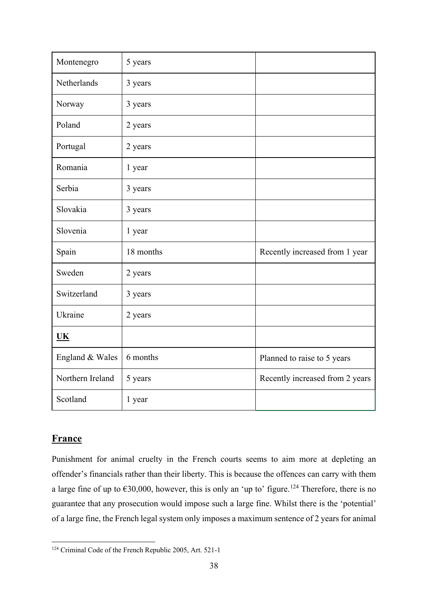| Montenegro       | 5 years   |                                 |
|------------------|-----------|---------------------------------|
| Netherlands      | 3 years   |                                 |
| Norway           | 3 years   |                                 |
| Poland           | 2 years   |                                 |
| Portugal         | 2 years   |                                 |
| Romania          | 1 year    |                                 |
| Serbia           | 3 years   |                                 |
| Slovakia         | 3 years   |                                 |
| Slovenia         | 1 year    |                                 |
| Spain            | 18 months | Recently increased from 1 year  |
| Sweden           | 2 years   |                                 |
| Switzerland      | 3 years   |                                 |
| Ukraine          | 2 years   |                                 |
| <b>UK</b>        |           |                                 |
| England & Wales  | 6 months  | Planned to raise to 5 years     |
| Northern Ireland | 5 years   | Recently increased from 2 years |
| Scotland         | 1 year    |                                 |

### **France**

Punishment for animal cruelty in the French courts seems to aim more at depleting an offender's financials rather than their liberty. This is because the offences can carry with them a large fine of up to  $\epsilon$ 30,000, however, this is only an 'up to' figure.<sup>[124](#page-37-0)</sup> Therefore, there is no guarantee that any prosecution would impose such a large fine. Whilst there is the 'potential' of a large fine, the French legal system only imposes a maximum sentence of 2 years for animal

<span id="page-37-0"></span><sup>124</sup> Criminal Code of the French Republic 2005, Art. 521-1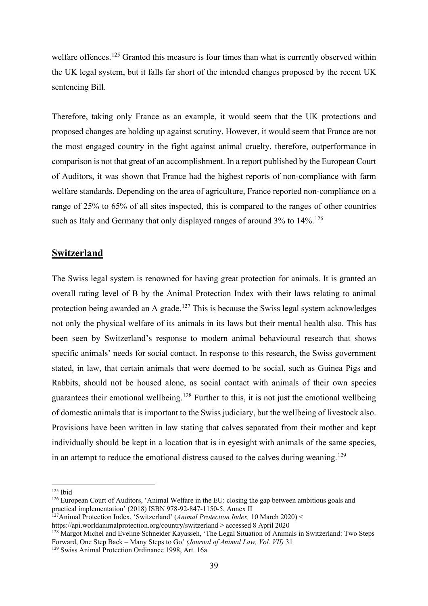welfare offences.<sup>[125](#page-38-0)</sup> Granted this measure is four times than what is currently observed within the UK legal system, but it falls far short of the intended changes proposed by the recent UK sentencing Bill.

Therefore, taking only France as an example, it would seem that the UK protections and proposed changes are holding up against scrutiny. However, it would seem that France are not the most engaged country in the fight against animal cruelty, therefore, outperformance in comparison is not that great of an accomplishment. In a report published by the European Court of Auditors, it was shown that France had the highest reports of non-compliance with farm welfare standards. Depending on the area of agriculture, France reported non-compliance on a range of 25% to 65% of all sites inspected, this is compared to the ranges of other countries such as Italy and Germany that only displayed ranges of around 3% to 14%.<sup>[126](#page-38-1)</sup>

#### **Switzerland**

The Swiss legal system is renowned for having great protection for animals. It is granted an overall rating level of B by the Animal Protection Index with their laws relating to animal protection being awarded an A grade.<sup>[127](#page-38-2)</sup> This is because the Swiss legal system acknowledges not only the physical welfare of its animals in its laws but their mental health also. This has been seen by Switzerland's response to modern animal behavioural research that shows specific animals' needs for social contact. In response to this research, the Swiss government stated, in law, that certain animals that were deemed to be social, such as Guinea Pigs and Rabbits, should not be housed alone, as social contact with animals of their own species guarantees their emotional wellbeing.<sup>[128](#page-38-3)</sup> Further to this, it is not just the emotional wellbeing of domestic animals that is important to the Swiss judiciary, but the wellbeing of livestock also. Provisions have been written in law stating that calves separated from their mother and kept individually should be kept in a location that is in eyesight with animals of the same species, in an attempt to reduce the emotional distress caused to the calves during weaning.<sup>[129](#page-38-4)</sup>

<span id="page-38-0"></span><sup>125</sup> Ibid

<span id="page-38-1"></span><sup>126</sup> European Court of Auditors, 'Animal Welfare in the EU: closing the gap between ambitious goals and practical implementation' (2018) ISBN 978-92-847-1150-5, Annex II

<span id="page-38-2"></span><sup>127</sup>Animal Protection Index, 'Switzerland' (*Animal Protection Index,* 10 March 2020) <

https://api.worldanimalprotection.org/country/switzerland > accessed 8 April 2020

<span id="page-38-3"></span><sup>&</sup>lt;sup>128</sup> Margot Michel and Eveline Schneider Kayasseh, 'The Legal Situation of Animals in Switzerland: Two Steps Forward, One Step Back – Many Steps to Go' *(Journal of Animal Law, Vol. VII)* 31

<span id="page-38-4"></span><sup>129</sup> Swiss Animal Protection Ordinance 1998, Art. 16a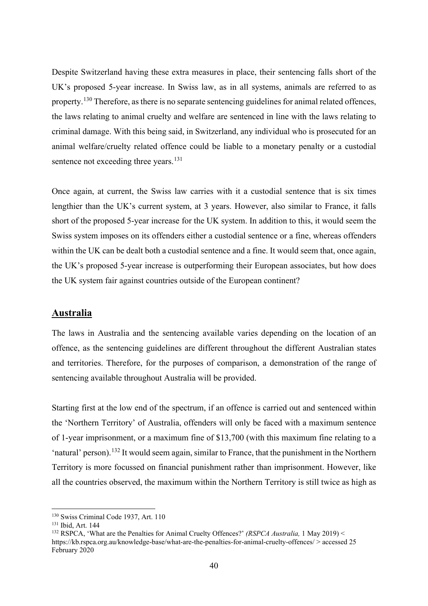Despite Switzerland having these extra measures in place, their sentencing falls short of the UK's proposed 5-year increase. In Swiss law, as in all systems, animals are referred to as property.<sup>[130](#page-39-0)</sup> Therefore, as there is no separate sentencing guidelines for animal related offences, the laws relating to animal cruelty and welfare are sentenced in line with the laws relating to criminal damage. With this being said, in Switzerland, any individual who is prosecuted for an animal welfare/cruelty related offence could be liable to a monetary penalty or a custodial sentence not exceeding three years.<sup>[131](#page-39-1)</sup>

Once again, at current, the Swiss law carries with it a custodial sentence that is six times lengthier than the UK's current system, at 3 years. However, also similar to France, it falls short of the proposed 5-year increase for the UK system. In addition to this, it would seem the Swiss system imposes on its offenders either a custodial sentence or a fine, whereas offenders within the UK can be dealt both a custodial sentence and a fine. It would seem that, once again, the UK's proposed 5-year increase is outperforming their European associates, but how does the UK system fair against countries outside of the European continent?

#### **Australia**

The laws in Australia and the sentencing available varies depending on the location of an offence, as the sentencing guidelines are different throughout the different Australian states and territories. Therefore, for the purposes of comparison, a demonstration of the range of sentencing available throughout Australia will be provided.

Starting first at the low end of the spectrum, if an offence is carried out and sentenced within the 'Northern Territory' of Australia, offenders will only be faced with a maximum sentence of 1-year imprisonment, or a maximum fine of \$13,700 (with this maximum fine relating to a 'natural' person).[132](#page-39-2) It would seem again, similar to France, that the punishment in the Northern Territory is more focussed on financial punishment rather than imprisonment. However, like all the countries observed, the maximum within the Northern Territory is still twice as high as

<sup>130</sup> Swiss Criminal Code 1937, Art. 110

<span id="page-39-1"></span><span id="page-39-0"></span><sup>131</sup> Ibid, Art. 144

<span id="page-39-2"></span><sup>132</sup> RSPCA, 'What are the Penalties for Animal Cruelty Offences?' *(RSPCA Australia,* 1 May 2019) < https://kb.rspca.org.au/knowledge-base/what-are-the-penalties-for-animal-cruelty-offences/ > accessed 25 February 2020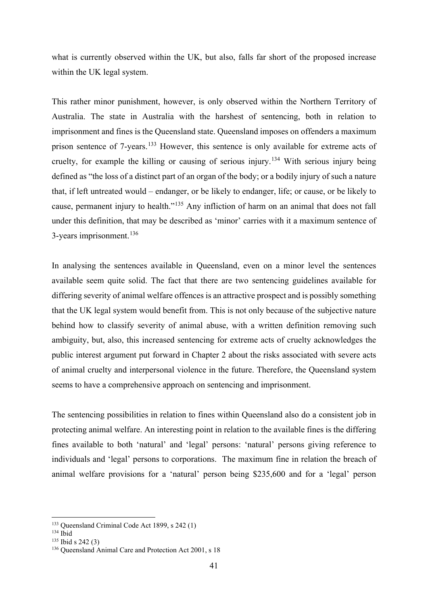what is currently observed within the UK, but also, falls far short of the proposed increase within the UK legal system.

This rather minor punishment, however, is only observed within the Northern Territory of Australia. The state in Australia with the harshest of sentencing, both in relation to imprisonment and fines is the Queensland state. Queensland imposes on offenders a maximum prison sentence of 7-years.<sup>[133](#page-40-0)</sup> However, this sentence is only available for extreme acts of cruelty, for example the killing or causing of serious injury.[134](#page-40-1) With serious injury being defined as "the loss of a distinct part of an organ of the body; or a bodily injury of such a nature that, if left untreated would – endanger, or be likely to endanger, life; or cause, or be likely to cause, permanent injury to health."[135](#page-40-2) Any infliction of harm on an animal that does not fall under this definition, that may be described as 'minor' carries with it a maximum sentence of 3-years imprisonment.<sup>[136](#page-40-3)</sup>

In analysing the sentences available in Queensland, even on a minor level the sentences available seem quite solid. The fact that there are two sentencing guidelines available for differing severity of animal welfare offences is an attractive prospect and is possibly something that the UK legal system would benefit from. This is not only because of the subjective nature behind how to classify severity of animal abuse, with a written definition removing such ambiguity, but, also, this increased sentencing for extreme acts of cruelty acknowledges the public interest argument put forward in Chapter 2 about the risks associated with severe acts of animal cruelty and interpersonal violence in the future. Therefore, the Queensland system seems to have a comprehensive approach on sentencing and imprisonment.

The sentencing possibilities in relation to fines within Queensland also do a consistent job in protecting animal welfare. An interesting point in relation to the available fines is the differing fines available to both 'natural' and 'legal' persons: 'natural' persons giving reference to individuals and 'legal' persons to corporations. The maximum fine in relation the breach of animal welfare provisions for a 'natural' person being \$235,600 and for a 'legal' person

<span id="page-40-0"></span><sup>133</sup> Queensland Criminal Code Act 1899, s 242 (1)

<span id="page-40-1"></span> $134$  Ibid

<span id="page-40-2"></span><sup>135</sup> Ibid s 242 (3)

<span id="page-40-3"></span><sup>&</sup>lt;sup>136</sup> Oueensland Animal Care and Protection Act 2001, s 18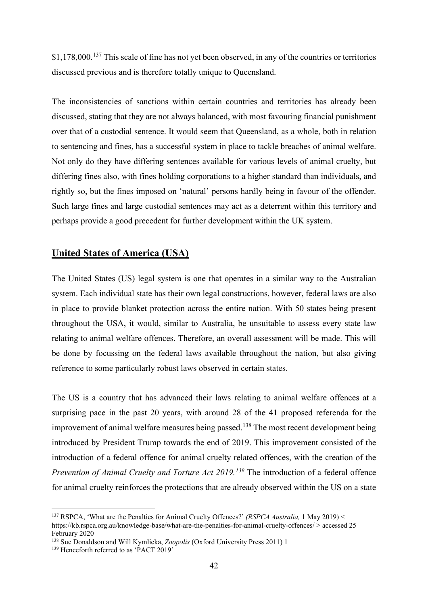\$1,178,000.<sup>[137](#page-41-0)</sup> This scale of fine has not yet been observed, in any of the countries or territories discussed previous and is therefore totally unique to Queensland.

The inconsistencies of sanctions within certain countries and territories has already been discussed, stating that they are not always balanced, with most favouring financial punishment over that of a custodial sentence. It would seem that Queensland, as a whole, both in relation to sentencing and fines, has a successful system in place to tackle breaches of animal welfare. Not only do they have differing sentences available for various levels of animal cruelty, but differing fines also, with fines holding corporations to a higher standard than individuals, and rightly so, but the fines imposed on 'natural' persons hardly being in favour of the offender. Such large fines and large custodial sentences may act as a deterrent within this territory and perhaps provide a good precedent for further development within the UK system.

#### **United States of America (USA)**

The United States (US) legal system is one that operates in a similar way to the Australian system. Each individual state has their own legal constructions, however, federal laws are also in place to provide blanket protection across the entire nation. With 50 states being present throughout the USA, it would, similar to Australia, be unsuitable to assess every state law relating to animal welfare offences. Therefore, an overall assessment will be made. This will be done by focussing on the federal laws available throughout the nation, but also giving reference to some particularly robust laws observed in certain states.

The US is a country that has advanced their laws relating to animal welfare offences at a surprising pace in the past 20 years, with around 28 of the 41 proposed referenda for the improvement of animal welfare measures being passed.<sup>[138](#page-41-1)</sup> The most recent development being introduced by President Trump towards the end of 2019. This improvement consisted of the introduction of a federal offence for animal cruelty related offences, with the creation of the *Prevention of Animal Cruelty and Torture Act 2019.[139](#page-41-2)* The introduction of a federal offence for animal cruelty reinforces the protections that are already observed within the US on a state

<span id="page-41-0"></span><sup>137</sup> RSPCA, 'What are the Penalties for Animal Cruelty Offences?' *(RSPCA Australia,* 1 May 2019) < https://kb.rspca.org.au/knowledge-base/what-are-the-penalties-for-animal-cruelty-offences/ > accessed 25 February 2020

<span id="page-41-1"></span><sup>138</sup> Sue Donaldson and Will Kymlicka, *Zoopolis* (Oxford University Press 2011) 1

<span id="page-41-2"></span><sup>&</sup>lt;sup>139</sup> Henceforth referred to as 'PACT 2019'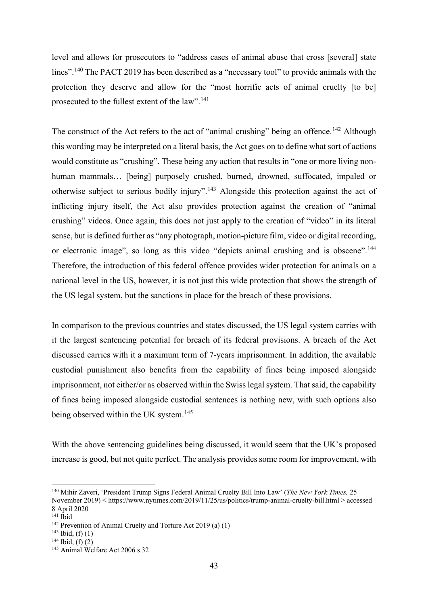level and allows for prosecutors to "address cases of animal abuse that cross [several] state lines".[140](#page-42-0) The PACT 2019 has been described as a "necessary tool" to provide animals with the protection they deserve and allow for the "most horrific acts of animal cruelty [to be] prosecuted to the fullest extent of the law".[141](#page-42-1)

The construct of the Act refers to the act of "animal crushing" being an offence.<sup>[142](#page-42-2)</sup> Although this wording may be interpreted on a literal basis, the Act goes on to define what sort of actions would constitute as "crushing". These being any action that results in "one or more living nonhuman mammals… [being] purposely crushed, burned, drowned, suffocated, impaled or otherwise subject to serious bodily injury".[143](#page-42-3) Alongside this protection against the act of inflicting injury itself, the Act also provides protection against the creation of "animal crushing" videos. Once again, this does not just apply to the creation of "video" in its literal sense, but is defined further as "any photograph, motion-picture film, video or digital recording, or electronic image", so long as this video "depicts animal crushing and is obscene".<sup>[144](#page-42-4)</sup> Therefore, the introduction of this federal offence provides wider protection for animals on a national level in the US, however, it is not just this wide protection that shows the strength of the US legal system, but the sanctions in place for the breach of these provisions.

In comparison to the previous countries and states discussed, the US legal system carries with it the largest sentencing potential for breach of its federal provisions. A breach of the Act discussed carries with it a maximum term of 7-years imprisonment. In addition, the available custodial punishment also benefits from the capability of fines being imposed alongside imprisonment, not either/or as observed within the Swiss legal system. That said, the capability of fines being imposed alongside custodial sentences is nothing new, with such options also being observed within the UK system.<sup>[145](#page-42-5)</sup>

With the above sentencing guidelines being discussed, it would seem that the UK's proposed increase is good, but not quite perfect. The analysis provides some room for improvement, with

<span id="page-42-0"></span><sup>140</sup> Mihir Zaveri, 'President Trump Signs Federal Animal Cruelty Bill Into Law' (*The New York Times,* 25 November 2019) < https://www.nytimes.com/2019/11/25/us/politics/trump-animal-cruelty-bill.html > accessed

<sup>8</sup> April 2020

<span id="page-42-1"></span><sup>141</sup> Ibid

<span id="page-42-2"></span><sup>142</sup> Prevention of Animal Cruelty and Torture Act 2019 (a) (1)

<span id="page-42-3"></span> $143$  Ibid, (f) (1)

<span id="page-42-4"></span> $144$  Ibid, (f) (2)

<span id="page-42-5"></span><sup>145</sup> Animal Welfare Act 2006 s 32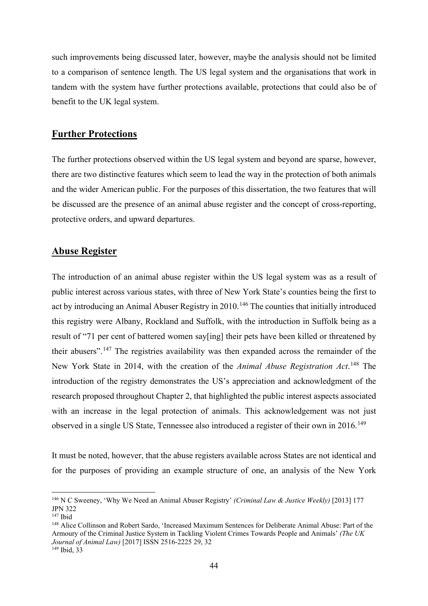such improvements being discussed later, however, maybe the analysis should not be limited to a comparison of sentence length. The US legal system and the organisations that work in tandem with the system have further protections available, protections that could also be of benefit to the UK legal system.

#### <span id="page-43-0"></span>**Further Protections**

The further protections observed within the US legal system and beyond are sparse, however, there are two distinctive features which seem to lead the way in the protection of both animals and the wider American public. For the purposes of this dissertation, the two features that will be discussed are the presence of an animal abuse register and the concept of cross-reporting, protective orders, and upward departures.

#### **Abuse Register**

The introduction of an animal abuse register within the US legal system was as a result of public interest across various states, with three of New York State's counties being the first to act by introducing an Animal Abuser Registry in 2010.<sup>[146](#page-43-1)</sup> The counties that initially introduced this registry were Albany, Rockland and Suffolk, with the introduction in Suffolk being as a result of "71 per cent of battered women say[ing] their pets have been killed or threatened by their abusers".[147](#page-43-2) The registries availability was then expanded across the remainder of the New York State in 2014, with the creation of the *Animal Abuse Registration Act*. [148](#page-43-3) The introduction of the registry demonstrates the US's appreciation and acknowledgment of the research proposed throughout Chapter 2, that highlighted the public interest aspects associated with an increase in the legal protection of animals. This acknowledgement was not just observed in a single US State, Tennessee also introduced a register of their own in 2016.<sup>[149](#page-43-4)</sup>

It must be noted, however, that the abuse registers available across States are not identical and for the purposes of providing an example structure of one, an analysis of the New York

<span id="page-43-1"></span><sup>146</sup> N C Sweeney, 'Why We Need an Animal Abuser Registry' *(Criminal Law & Justice Weekly)* [2013] 177 JPN 322

<span id="page-43-2"></span><sup>147</sup> Ibid

<span id="page-43-3"></span><sup>148</sup> Alice Collinson and Robert Sardo, 'Increased Maximum Sentences for Deliberate Animal Abuse: Part of the Armoury of the Criminal Justice System in Tackling Violent Crimes Towards People and Animals' *(The UK Journal of Animal Law)* [2017] ISSN 2516-2225 29, 32

<span id="page-43-4"></span><sup>149</sup> Ibid, 33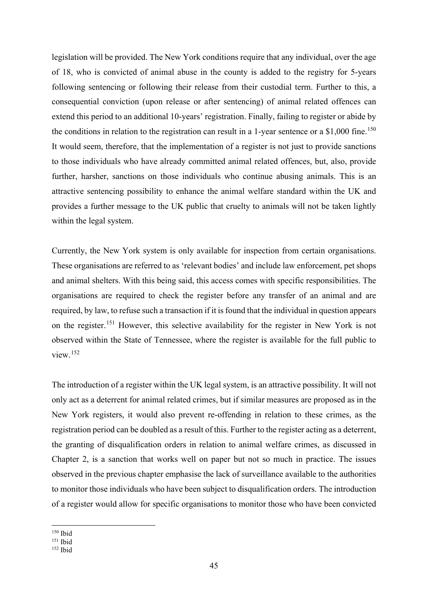legislation will be provided. The New York conditions require that any individual, over the age of 18, who is convicted of animal abuse in the county is added to the registry for 5-years following sentencing or following their release from their custodial term. Further to this, a consequential conviction (upon release or after sentencing) of animal related offences can extend this period to an additional 10-years' registration. Finally, failing to register or abide by the conditions in relation to the registration can result in a 1-year sentence or a  $$1,000$  fine.<sup>[150](#page-44-0)</sup> It would seem, therefore, that the implementation of a register is not just to provide sanctions to those individuals who have already committed animal related offences, but, also, provide further, harsher, sanctions on those individuals who continue abusing animals. This is an attractive sentencing possibility to enhance the animal welfare standard within the UK and provides a further message to the UK public that cruelty to animals will not be taken lightly within the legal system.

Currently, the New York system is only available for inspection from certain organisations. These organisations are referred to as 'relevant bodies' and include law enforcement, pet shops and animal shelters. With this being said, this access comes with specific responsibilities. The organisations are required to check the register before any transfer of an animal and are required, by law, to refuse such a transaction if it is found that the individual in question appears on the register.[151](#page-44-1) However, this selective availability for the register in New York is not observed within the State of Tennessee, where the register is available for the full public to view.[152](#page-44-2)

The introduction of a register within the UK legal system, is an attractive possibility. It will not only act as a deterrent for animal related crimes, but if similar measures are proposed as in the New York registers, it would also prevent re-offending in relation to these crimes, as the registration period can be doubled as a result of this. Further to the register acting as a deterrent, the granting of disqualification orders in relation to animal welfare crimes, as discussed in Chapter 2, is a sanction that works well on paper but not so much in practice. The issues observed in the previous chapter emphasise the lack of surveillance available to the authorities to monitor those individuals who have been subject to disqualification orders. The introduction of a register would allow for specific organisations to monitor those who have been convicted

<span id="page-44-0"></span><sup>150</sup> Ibid

<span id="page-44-1"></span><sup>151</sup> Ibid

<span id="page-44-2"></span><sup>152</sup> Ibid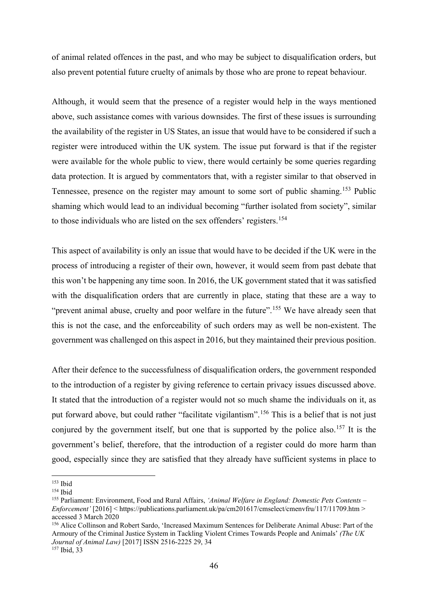of animal related offences in the past, and who may be subject to disqualification orders, but also prevent potential future cruelty of animals by those who are prone to repeat behaviour.

Although, it would seem that the presence of a register would help in the ways mentioned above, such assistance comes with various downsides. The first of these issues is surrounding the availability of the register in US States, an issue that would have to be considered if such a register were introduced within the UK system. The issue put forward is that if the register were available for the whole public to view, there would certainly be some queries regarding data protection. It is argued by commentators that, with a register similar to that observed in Tennessee, presence on the register may amount to some sort of public shaming.<sup>[153](#page-45-0)</sup> Public shaming which would lead to an individual becoming "further isolated from society", similar to those individuals who are listed on the sex offenders' registers.[154](#page-45-1)

This aspect of availability is only an issue that would have to be decided if the UK were in the process of introducing a register of their own, however, it would seem from past debate that this won't be happening any time soon. In 2016, the UK government stated that it was satisfied with the disqualification orders that are currently in place, stating that these are a way to "prevent animal abuse, cruelty and poor welfare in the future".<sup>[155](#page-45-2)</sup> We have already seen that this is not the case, and the enforceability of such orders may as well be non-existent. The government was challenged on this aspect in 2016, but they maintained their previous position.

After their defence to the successfulness of disqualification orders, the government responded to the introduction of a register by giving reference to certain privacy issues discussed above. It stated that the introduction of a register would not so much shame the individuals on it, as put forward above, but could rather "facilitate vigilantism".[156](#page-45-3) This is a belief that is not just conjured by the government itself, but one that is supported by the police also.<sup>[157](#page-45-4)</sup> It is the government's belief, therefore, that the introduction of a register could do more harm than good, especially since they are satisfied that they already have sufficient systems in place to

<span id="page-45-0"></span> $153$  Ibid

<span id="page-45-1"></span><sup>154</sup> Ibid

<span id="page-45-2"></span><sup>155</sup> Parliament: Environment, Food and Rural Affairs, *'Animal Welfare in England: Domestic Pets Contents – Enforcement'* [2016] < https://publications.parliament.uk/pa/cm201617/cmselect/cmenvfru/117/11709.htm > accessed 3 March 2020

<span id="page-45-3"></span><sup>156</sup> Alice Collinson and Robert Sardo, 'Increased Maximum Sentences for Deliberate Animal Abuse: Part of the Armoury of the Criminal Justice System in Tackling Violent Crimes Towards People and Animals' *(The UK Journal of Animal Law)* [2017] ISSN 2516-2225 29, 34

<span id="page-45-4"></span><sup>157</sup> Ibid, 33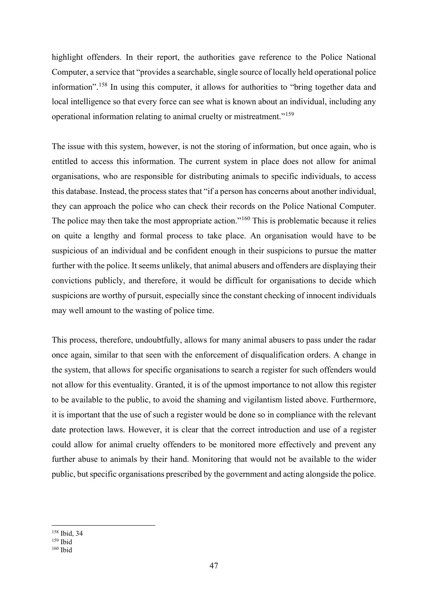highlight offenders. In their report, the authorities gave reference to the Police National Computer, a service that "provides a searchable, single source of locally held operational police information".<sup>[158](#page-46-0)</sup> In using this computer, it allows for authorities to "bring together data and local intelligence so that every force can see what is known about an individual, including any operational information relating to animal cruelty or mistreatment."[159](#page-46-1)

The issue with this system, however, is not the storing of information, but once again, who is entitled to access this information. The current system in place does not allow for animal organisations, who are responsible for distributing animals to specific individuals, to access this database. Instead, the process states that "if a person has concerns about another individual, they can approach the police who can check their records on the Police National Computer. The police may then take the most appropriate action."<sup>[160](#page-46-2)</sup> This is problematic because it relies on quite a lengthy and formal process to take place. An organisation would have to be suspicious of an individual and be confident enough in their suspicions to pursue the matter further with the police. It seems unlikely, that animal abusers and offenders are displaying their convictions publicly, and therefore, it would be difficult for organisations to decide which suspicions are worthy of pursuit, especially since the constant checking of innocent individuals may well amount to the wasting of police time.

This process, therefore, undoubtfully, allows for many animal abusers to pass under the radar once again, similar to that seen with the enforcement of disqualification orders. A change in the system, that allows for specific organisations to search a register for such offenders would not allow for this eventuality. Granted, it is of the upmost importance to not allow this register to be available to the public, to avoid the shaming and vigilantism listed above. Furthermore, it is important that the use of such a register would be done so in compliance with the relevant date protection laws. However, it is clear that the correct introduction and use of a register could allow for animal cruelty offenders to be monitored more effectively and prevent any further abuse to animals by their hand. Monitoring that would not be available to the wider public, but specific organisations prescribed by the government and acting alongside the police.

<span id="page-46-0"></span><sup>158</sup> Ibid, 34

 $159$  Ibid

<span id="page-46-2"></span><span id="page-46-1"></span><sup>160</sup> Ibid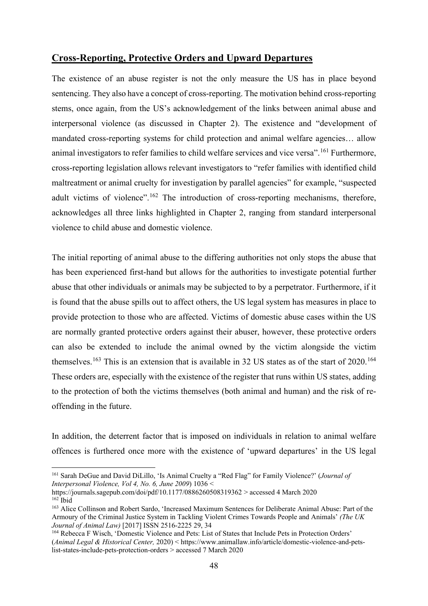#### **Cross-Reporting, Protective Orders and Upward Departures**

The existence of an abuse register is not the only measure the US has in place beyond sentencing. They also have a concept of cross-reporting. The motivation behind cross-reporting stems, once again, from the US's acknowledgement of the links between animal abuse and interpersonal violence (as discussed in Chapter 2). The existence and "development of mandated cross-reporting systems for child protection and animal welfare agencies… allow animal investigators to refer families to child welfare services and vice versa".<sup>[161](#page-47-0)</sup> Furthermore, cross-reporting legislation allows relevant investigators to "refer families with identified child maltreatment or animal cruelty for investigation by parallel agencies" for example, "suspected adult victims of violence".<sup>[162](#page-47-1)</sup> The introduction of cross-reporting mechanisms, therefore, acknowledges all three links highlighted in Chapter 2, ranging from standard interpersonal violence to child abuse and domestic violence.

The initial reporting of animal abuse to the differing authorities not only stops the abuse that has been experienced first-hand but allows for the authorities to investigate potential further abuse that other individuals or animals may be subjected to by a perpetrator. Furthermore, if it is found that the abuse spills out to affect others, the US legal system has measures in place to provide protection to those who are affected. Victims of domestic abuse cases within the US are normally granted protective orders against their abuser, however, these protective orders can also be extended to include the animal owned by the victim alongside the victim themselves.<sup>[163](#page-47-2)</sup> This is an extension that is available in 32 US states as of the start of  $2020$ .<sup>[164](#page-47-3)</sup> These orders are, especially with the existence of the register that runs within US states, adding to the protection of both the victims themselves (both animal and human) and the risk of reoffending in the future.

In addition, the deterrent factor that is imposed on individuals in relation to animal welfare offences is furthered once more with the existence of 'upward departures' in the US legal

<span id="page-47-0"></span><sup>161</sup> Sarah DeGue and David DiLillo, 'Is Animal Cruelty a "Red Flag" for Family Violence?' (*Journal of Interpersonal Violence, Vol 4, No. 6, June 2009*) 1036 <

https://journals.sagepub.com/doi/pdf/10.1177/0886260508319362 > accessed 4 March 2020  $162$  Ibid

<span id="page-47-2"></span><span id="page-47-1"></span><sup>163</sup> Alice Collinson and Robert Sardo, 'Increased Maximum Sentences for Deliberate Animal Abuse: Part of the Armoury of the Criminal Justice System in Tackling Violent Crimes Towards People and Animals' *(The UK Journal of Animal Law)* [2017] ISSN 2516-2225 29, 34

<span id="page-47-3"></span><sup>164</sup> Rebecca F Wisch, 'Domestic Violence and Pets: List of States that Include Pets in Protection Orders' (*Animal Legal & Historical Center,* 2020) < https://www.animallaw.info/article/domestic-violence-and-petslist-states-include-pets-protection-orders > accessed 7 March 2020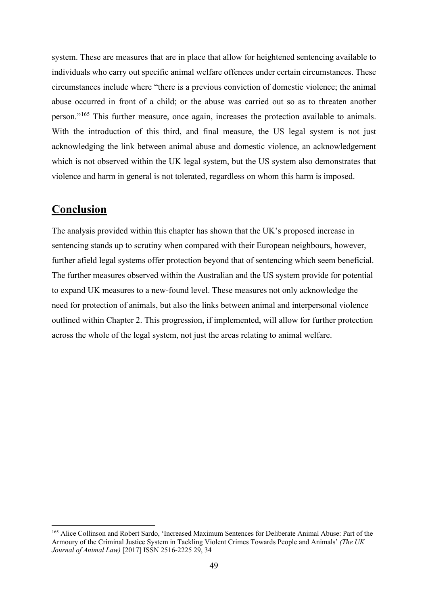system. These are measures that are in place that allow for heightened sentencing available to individuals who carry out specific animal welfare offences under certain circumstances. These circumstances include where "there is a previous conviction of domestic violence; the animal abuse occurred in front of a child; or the abuse was carried out so as to threaten another person."[165](#page-48-1) This further measure, once again, increases the protection available to animals. With the introduction of this third, and final measure, the US legal system is not just acknowledging the link between animal abuse and domestic violence, an acknowledgement which is not observed within the UK legal system, but the US system also demonstrates that violence and harm in general is not tolerated, regardless on whom this harm is imposed.

### <span id="page-48-0"></span>**Conclusion**

The analysis provided within this chapter has shown that the UK's proposed increase in sentencing stands up to scrutiny when compared with their European neighbours, however, further afield legal systems offer protection beyond that of sentencing which seem beneficial. The further measures observed within the Australian and the US system provide for potential to expand UK measures to a new-found level. These measures not only acknowledge the need for protection of animals, but also the links between animal and interpersonal violence outlined within Chapter 2. This progression, if implemented, will allow for further protection across the whole of the legal system, not just the areas relating to animal welfare.

<span id="page-48-1"></span><sup>165</sup> Alice Collinson and Robert Sardo, 'Increased Maximum Sentences for Deliberate Animal Abuse: Part of the Armoury of the Criminal Justice System in Tackling Violent Crimes Towards People and Animals' *(The UK Journal of Animal Law)* [2017] ISSN 2516-2225 29, 34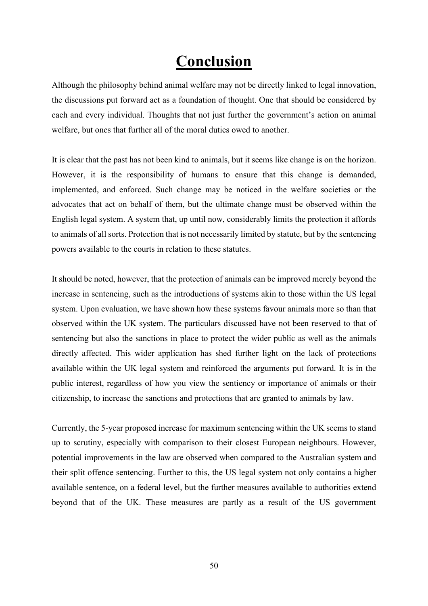## **Conclusion**

<span id="page-49-0"></span>Although the philosophy behind animal welfare may not be directly linked to legal innovation, the discussions put forward act as a foundation of thought. One that should be considered by each and every individual. Thoughts that not just further the government's action on animal welfare, but ones that further all of the moral duties owed to another.

It is clear that the past has not been kind to animals, but it seems like change is on the horizon. However, it is the responsibility of humans to ensure that this change is demanded, implemented, and enforced. Such change may be noticed in the welfare societies or the advocates that act on behalf of them, but the ultimate change must be observed within the English legal system. A system that, up until now, considerably limits the protection it affords to animals of all sorts. Protection that is not necessarily limited by statute, but by the sentencing powers available to the courts in relation to these statutes.

It should be noted, however, that the protection of animals can be improved merely beyond the increase in sentencing, such as the introductions of systems akin to those within the US legal system. Upon evaluation, we have shown how these systems favour animals more so than that observed within the UK system. The particulars discussed have not been reserved to that of sentencing but also the sanctions in place to protect the wider public as well as the animals directly affected. This wider application has shed further light on the lack of protections available within the UK legal system and reinforced the arguments put forward. It is in the public interest, regardless of how you view the sentiency or importance of animals or their citizenship, to increase the sanctions and protections that are granted to animals by law.

Currently, the 5-year proposed increase for maximum sentencing within the UK seems to stand up to scrutiny, especially with comparison to their closest European neighbours. However, potential improvements in the law are observed when compared to the Australian system and their split offence sentencing. Further to this, the US legal system not only contains a higher available sentence, on a federal level, but the further measures available to authorities extend beyond that of the UK. These measures are partly as a result of the US government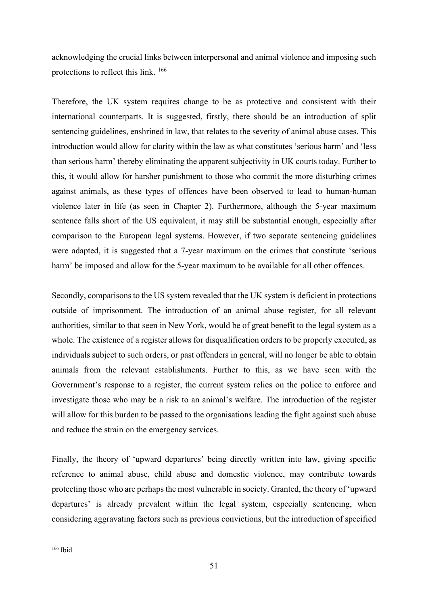acknowledging the crucial links between interpersonal and animal violence and imposing such protections to reflect this link. [166](#page-50-0)

Therefore, the UK system requires change to be as protective and consistent with their international counterparts. It is suggested, firstly, there should be an introduction of split sentencing guidelines, enshrined in law, that relates to the severity of animal abuse cases. This introduction would allow for clarity within the law as what constitutes 'serious harm' and 'less than serious harm' thereby eliminating the apparent subjectivity in UK courts today. Further to this, it would allow for harsher punishment to those who commit the more disturbing crimes against animals, as these types of offences have been observed to lead to human-human violence later in life (as seen in Chapter 2). Furthermore, although the 5-year maximum sentence falls short of the US equivalent, it may still be substantial enough, especially after comparison to the European legal systems. However, if two separate sentencing guidelines were adapted, it is suggested that a 7-year maximum on the crimes that constitute 'serious harm' be imposed and allow for the 5-year maximum to be available for all other offences.

Secondly, comparisons to the US system revealed that the UK system is deficient in protections outside of imprisonment. The introduction of an animal abuse register, for all relevant authorities, similar to that seen in New York, would be of great benefit to the legal system as a whole. The existence of a register allows for disqualification orders to be properly executed, as individuals subject to such orders, or past offenders in general, will no longer be able to obtain animals from the relevant establishments. Further to this, as we have seen with the Government's response to a register, the current system relies on the police to enforce and investigate those who may be a risk to an animal's welfare. The introduction of the register will allow for this burden to be passed to the organisations leading the fight against such abuse and reduce the strain on the emergency services.

Finally, the theory of 'upward departures' being directly written into law, giving specific reference to animal abuse, child abuse and domestic violence, may contribute towards protecting those who are perhaps the most vulnerable in society. Granted, the theory of 'upward departures' is already prevalent within the legal system, especially sentencing, when considering aggravating factors such as previous convictions, but the introduction of specified

<span id="page-50-0"></span><sup>166</sup> Ibid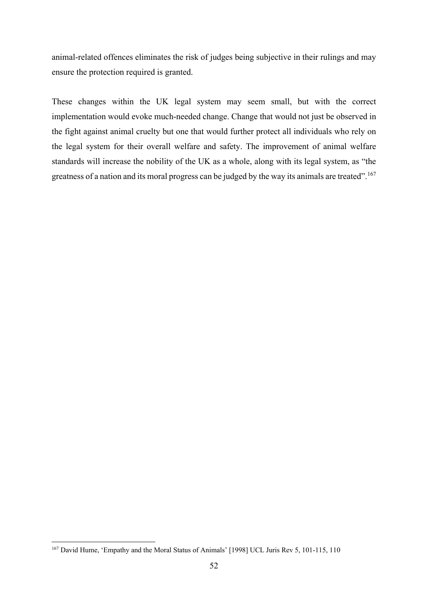animal-related offences eliminates the risk of judges being subjective in their rulings and may ensure the protection required is granted.

These changes within the UK legal system may seem small, but with the correct implementation would evoke much-needed change. Change that would not just be observed in the fight against animal cruelty but one that would further protect all individuals who rely on the legal system for their overall welfare and safety. The improvement of animal welfare standards will increase the nobility of the UK as a whole, along with its legal system, as "the greatness of a nation and its moral progress can be judged by the way its animals are treated". [167](#page-51-0)

<span id="page-51-0"></span><sup>167</sup> David Hume, 'Empathy and the Moral Status of Animals' [1998] UCL Juris Rev 5, 101-115, 110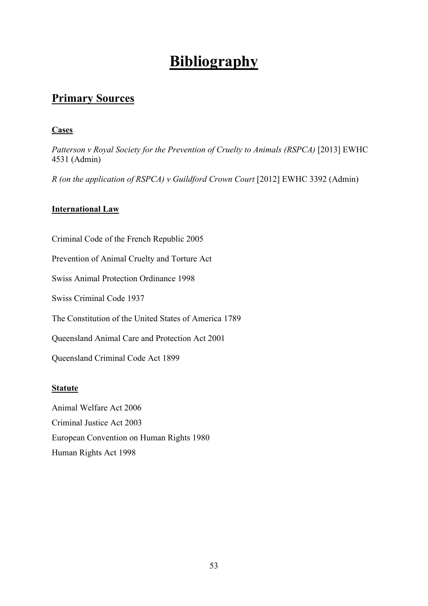## **Bibliography**

### <span id="page-52-1"></span><span id="page-52-0"></span>**Primary Sources**

### **Cases**

*Patterson v Royal Society for the Prevention of Cruelty to Animals (RSPCA)* [2013] EWHC 4531 (Admin)

*R (on the application of RSPCA) v Guildford Crown Court* [2012] EWHC 3392 (Admin)

### **International Law**

Criminal Code of the French Republic 2005 Prevention of Animal Cruelty and Torture Act Swiss Animal Protection Ordinance 1998 Swiss Criminal Code 1937 The Constitution of the United States of America 1789 Queensland Animal Care and Protection Act 2001 Queensland Criminal Code Act 1899

### **Statute**

Animal Welfare Act 2006 Criminal Justice Act 2003 European Convention on Human Rights 1980 Human Rights Act 1998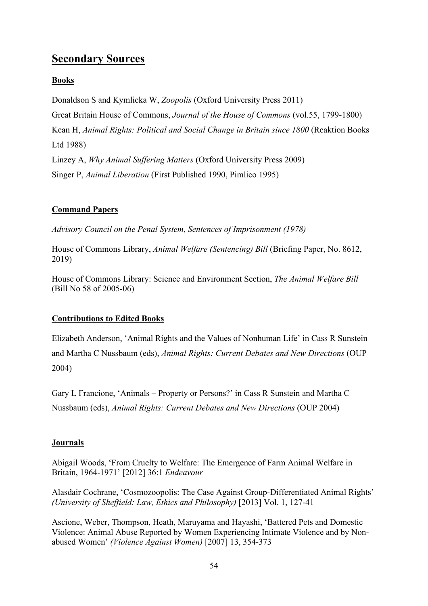### <span id="page-53-0"></span>**Secondary Sources**

### **Books**

Donaldson S and Kymlicka W, *Zoopolis* (Oxford University Press 2011) Great Britain House of Commons, *Journal of the House of Commons* (vol.55, 1799-1800) Kean H, *Animal Rights: Political and Social Change in Britain since 1800 (Reaktion Books*) Ltd 1988) Linzey A, *Why Animal Suffering Matters* (Oxford University Press 2009) Singer P, *Animal Liberation* (First Published 1990, Pimlico 1995)

### **Command Papers**

*Advisory Council on the Penal System, Sentences of Imprisonment (1978)*

House of Commons Library, *Animal Welfare (Sentencing) Bill* (Briefing Paper, No. 8612, 2019)

House of Commons Library: Science and Environment Section, *The Animal Welfare Bill*  (Bill No 58 of 2005-06)

### **Contributions to Edited Books**

Elizabeth Anderson, 'Animal Rights and the Values of Nonhuman Life' in Cass R Sunstein and Martha C Nussbaum (eds), *Animal Rights: Current Debates and New Directions* (OUP 2004)

Gary L Francione, 'Animals – Property or Persons?' in Cass R Sunstein and Martha C Nussbaum (eds), *Animal Rights: Current Debates and New Directions* (OUP 2004)

### **Journals**

Abigail Woods, 'From Cruelty to Welfare: The Emergence of Farm Animal Welfare in Britain, 1964-1971' [2012] 36:1 *Endeavour*

Alasdair Cochrane, 'Cosmozoopolis: The Case Against Group-Differentiated Animal Rights' *(University of Sheffield: Law, Ethics and Philosophy)* [2013] Vol. 1, 127-41

Ascione, Weber, Thompson, Heath, Maruyama and Hayashi, 'Battered Pets and Domestic Violence: Animal Abuse Reported by Women Experiencing Intimate Violence and by Nonabused Women' *(Violence Against Women)* [2007] 13, 354-373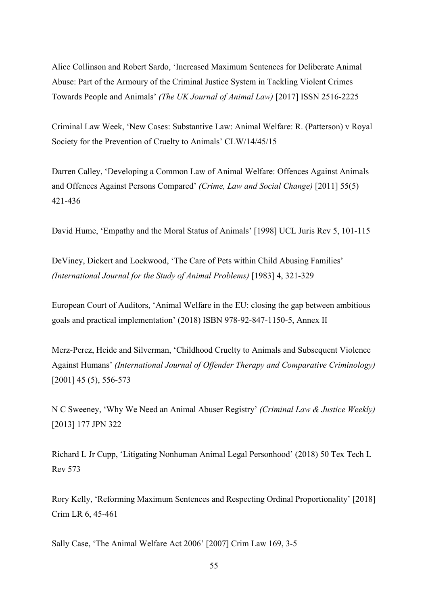Alice Collinson and Robert Sardo, 'Increased Maximum Sentences for Deliberate Animal Abuse: Part of the Armoury of the Criminal Justice System in Tackling Violent Crimes Towards People and Animals' *(The UK Journal of Animal Law)* [2017] ISSN 2516-2225

Criminal Law Week, 'New Cases: Substantive Law: Animal Welfare: R. (Patterson) v Royal Society for the Prevention of Cruelty to Animals' CLW/14/45/15

Darren Calley, 'Developing a Common Law of Animal Welfare: Offences Against Animals and Offences Against Persons Compared' *(Crime, Law and Social Change)* [2011] 55(5) 421-436

David Hume, 'Empathy and the Moral Status of Animals' [1998] UCL Juris Rev 5, 101-115

DeViney, Dickert and Lockwood, 'The Care of Pets within Child Abusing Families' *(International Journal for the Study of Animal Problems)* [1983] 4, 321-329

European Court of Auditors, 'Animal Welfare in the EU: closing the gap between ambitious goals and practical implementation' (2018) ISBN 978-92-847-1150-5, Annex II

Merz-Perez, Heide and Silverman, 'Childhood Cruelty to Animals and Subsequent Violence Against Humans' *(International Journal of Offender Therapy and Comparative Criminology)* [2001] 45 (5), 556-573

N C Sweeney, 'Why We Need an Animal Abuser Registry' *(Criminal Law & Justice Weekly)*  [2013] 177 JPN 322

Richard L Jr Cupp, 'Litigating Nonhuman Animal Legal Personhood' (2018) 50 Tex Tech L Rev 573

Rory Kelly, 'Reforming Maximum Sentences and Respecting Ordinal Proportionality' [2018] Crim LR 6, 45-461

Sally Case, 'The Animal Welfare Act 2006' [2007] Crim Law 169, 3-5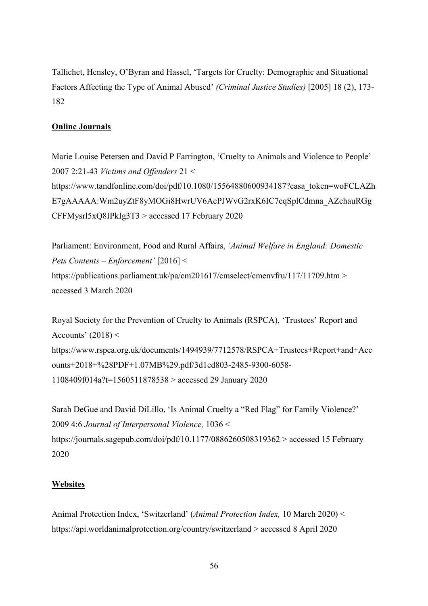Tallichet, Hensley, O'Byran and Hassel, 'Targets for Cruelty: Demographic and Situational Factors Affecting the Type of Animal Abused' *(Criminal Justice Studies)* [2005] 18 (2), 173- 182

#### **Online Journals**

Marie Louise Petersen and David P Farrington, 'Cruelty to Animals and Violence to People' 2007 2:21-43 *Victims and Offenders* 21 < https://www.tandfonline.com/doi/pdf/10.1080/15564880600934187?casa\_token=woFCLAZh E7gAAAAA:Wm2uyZtF8yMOGi8HwrUV6AcPJWvG2rxK6IC7cqSplCdmna\_AZehauRGg CFFMysrl5xQ8IPkIg3T3 > accessed 17 February 2020

Parliament: Environment, Food and Rural Affairs, *'Animal Welfare in England: Domestic Pets Contents – Enforcement'* [2016] < https://publications.parliament.uk/pa/cm201617/cmselect/cmenvfru/117/11709.htm > accessed 3 March 2020

Royal Society for the Prevention of Cruelty to Animals (RSPCA), 'Trustees' Report and Accounts'  $(2018)$  < https://www.rspca.org.uk/documents/1494939/7712578/RSPCA+Trustees+Report+and+Acc ounts+2018+%28PDF+1.07MB%29.pdf/3d1ed803-2485-9300-6058- 1108409f014a?t=1560511878538 > accessed 29 January 2020

Sarah DeGue and David DiLillo, 'Is Animal Cruelty a "Red Flag" for Family Violence?' 2009 4:6 *Journal of Interpersonal Violence,* 1036 < https://journals.sagepub.com/doi/pdf/10.1177/0886260508319362 > accessed 15 February 2020

#### **Websites**

Animal Protection Index, 'Switzerland' (*Animal Protection Index,* 10 March 2020) < https://api.worldanimalprotection.org/country/switzerland > accessed 8 April 2020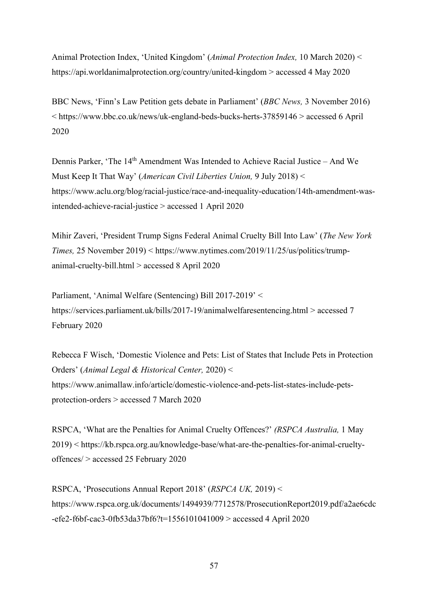Animal Protection Index, 'United Kingdom' (*Animal Protection Index,* 10 March 2020) < https://api.worldanimalprotection.org/country/united-kingdom > accessed 4 May 2020

BBC News, 'Finn's Law Petition gets debate in Parliament' (*BBC News,* 3 November 2016) < https://www.bbc.co.uk/news/uk-england-beds-bucks-herts-37859146 > accessed 6 April 2020

Dennis Parker. 'The 14<sup>th</sup> Amendment Was Intended to Achieve Racial Justice – And We Must Keep It That Way' (*American Civil Liberties Union,* 9 July 2018) < https://www.aclu.org/blog/racial-justice/race-and-inequality-education/14th-amendment-wasintended-achieve-racial-justice > accessed 1 April 2020

Mihir Zaveri, 'President Trump Signs Federal Animal Cruelty Bill Into Law' (*The New York Times,* 25 November 2019) < https://www.nytimes.com/2019/11/25/us/politics/trumpanimal-cruelty-bill.html > accessed 8 April 2020

Parliament, 'Animal Welfare (Sentencing) Bill 2017-2019' < https://services.parliament.uk/bills/2017-19/animalwelfaresentencing.html > accessed 7 February 2020

Rebecca F Wisch, 'Domestic Violence and Pets: List of States that Include Pets in Protection Orders' (*Animal Legal & Historical Center,* 2020) < https://www.animallaw.info/article/domestic-violence-and-pets-list-states-include-petsprotection-orders > accessed 7 March 2020

RSPCA, 'What are the Penalties for Animal Cruelty Offences?' *(RSPCA Australia,* 1 May 2019) < https://kb.rspca.org.au/knowledge-base/what-are-the-penalties-for-animal-crueltyoffences/ > accessed 25 February 2020

RSPCA, 'Prosecutions Annual Report 2018' (*RSPCA UK,* 2019) < https://www.rspca.org.uk/documents/1494939/7712578/ProsecutionReport2019.pdf/a2ae6cdc -efe2-f6bf-cac3-0fb53da37bf6?t=1556101041009 > accessed 4 April 2020